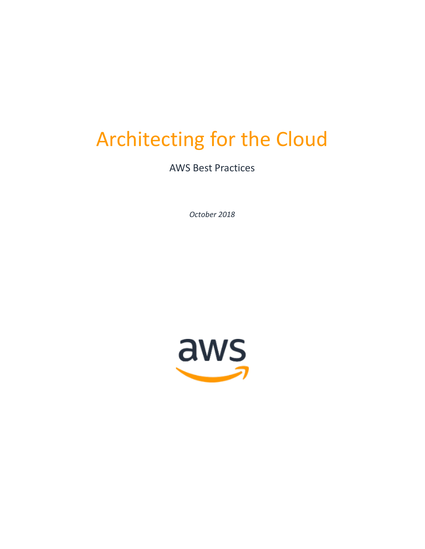# Architecting for the Cloud

AWS Best Practices

*October 2018*

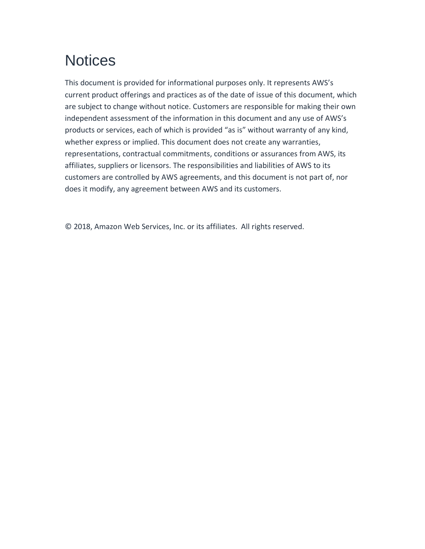# **Notices**

This document is provided for informational purposes only. It represents AWS's current product offerings and practices as of the date of issue of this document, which are subject to change without notice. Customers are responsible for making their own independent assessment of the information in this document and any use of AWS's products or services, each of which is provided "as is" without warranty of any kind, whether express or implied. This document does not create any warranties, representations, contractual commitments, conditions or assurances from AWS, its affiliates, suppliers or licensors. The responsibilities and liabilities of AWS to its customers are controlled by AWS agreements, and this document is not part of, nor does it modify, any agreement between AWS and its customers.

© 2018, Amazon Web Services, Inc. or its affiliates. All rights reserved.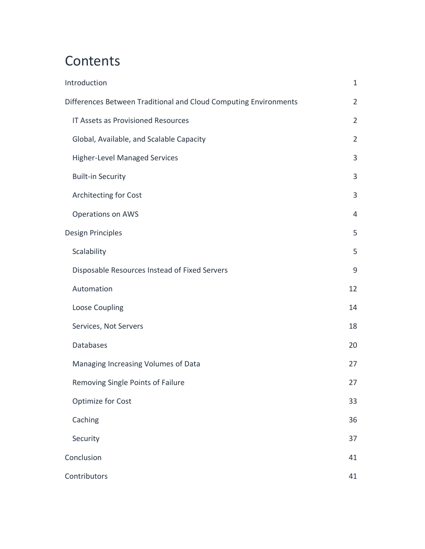# **Contents**

| Introduction                                                     |                |  |
|------------------------------------------------------------------|----------------|--|
| Differences Between Traditional and Cloud Computing Environments |                |  |
| <b>IT Assets as Provisioned Resources</b>                        | $\overline{2}$ |  |
| Global, Available, and Scalable Capacity                         | $\overline{2}$ |  |
| <b>Higher-Level Managed Services</b>                             | 3              |  |
| <b>Built-in Security</b>                                         | 3              |  |
| Architecting for Cost                                            | 3              |  |
| <b>Operations on AWS</b>                                         | 4              |  |
| <b>Design Principles</b>                                         | 5              |  |
| Scalability                                                      | 5              |  |
| Disposable Resources Instead of Fixed Servers                    | 9              |  |
| Automation                                                       | 12             |  |
| Loose Coupling                                                   | 14             |  |
| Services, Not Servers                                            | 18             |  |
| Databases                                                        | 20             |  |
| Managing Increasing Volumes of Data                              | 27             |  |
| Removing Single Points of Failure                                | 27             |  |
| <b>Optimize for Cost</b>                                         | 33             |  |
| Caching                                                          | 36             |  |
| Security                                                         | 37             |  |
| Conclusion                                                       |                |  |
| Contributors                                                     |                |  |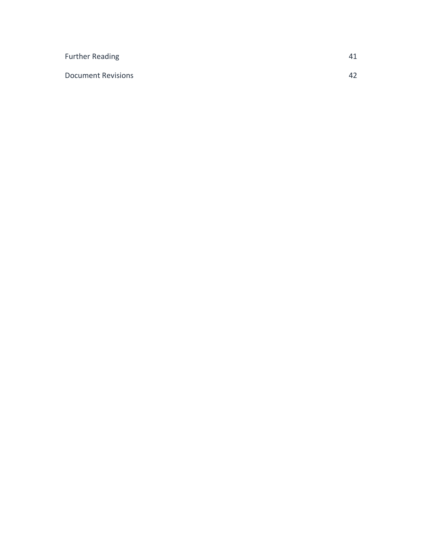| Further Reading           | 41 |
|---------------------------|----|
| <b>Document Revisions</b> | 42 |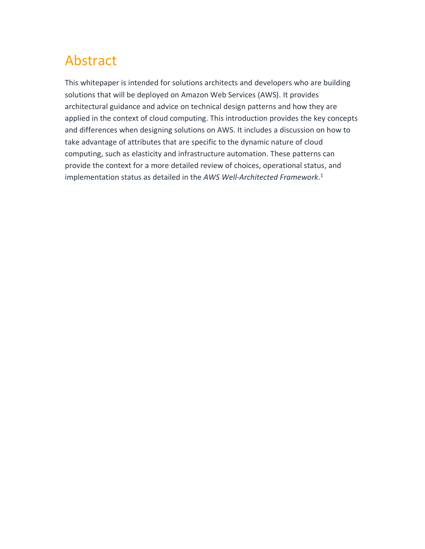# Abstract

This whitepaper is intended for solutions architects and developers who are building solutions that will be deployed on Amazon Web Services (AWS). It provides architectural guidance and advice on technical design patterns and how they are applied in the context of cloud computing. This introduction provides the key concepts and differences when designing solutions on AWS. It includes a discussion on how to take advantage of attributes that are specific to the dynamic nature of cloud computing, such as elasticity and infrastructure automation. These patterns can provide the context for a more detailed review of choices, operational status, and implementation status as detailed in the *AWS Well-Architected Framework*. 1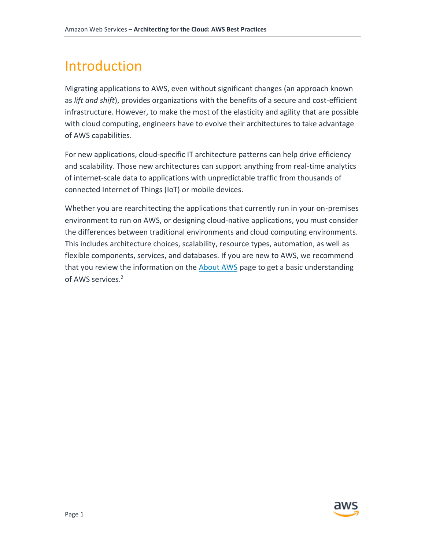# <span id="page-5-0"></span>Introduction

Migrating applications to AWS, even without significant changes (an approach known as *lift and shift*), provides organizations with the benefits of a secure and cost-efficient infrastructure. However, to make the most of the elasticity and agility that are possible with cloud computing, engineers have to evolve their architectures to take advantage of AWS capabilities.

For new applications, cloud-specific IT architecture patterns can help drive efficiency and scalability. Those new architectures can support anything from real-time analytics of internet-scale data to applications with unpredictable traffic from thousands of connected Internet of Things (IoT) or mobile devices.

<span id="page-5-1"></span>Whether you are rearchitecting the applications that currently run in your on-premises environment to run on AWS, or designing cloud-native applications, you must consider the differences between traditional environments and cloud computing environments. This includes architecture choices, scalability, resource types, automation, as well as flexible components, services, and databases. If you are new to AWS, we recommend that you review the information on the [About AWS](https://aws.amazon.com/about-aws/) page to get a basic understanding of AWS services. 2

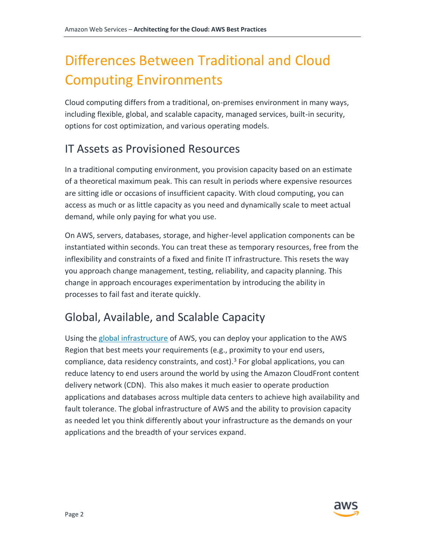# Differences Between Traditional and Cloud Computing Environments

Cloud computing differs from a traditional, on-premises environment in many ways, including flexible, global, and scalable capacity, managed services, built-in security, options for cost optimization, and various operating models.

# <span id="page-6-0"></span>IT Assets as Provisioned Resources

In a traditional computing environment, you provision capacity based on an estimate of a theoretical maximum peak. This can result in periods where expensive resources are sitting idle or occasions of insufficient capacity. With cloud computing, you can access as much or as little capacity as you need and dynamically scale to meet actual demand, while only paying for what you use.

On AWS, servers, databases, storage, and higher-level application components can be instantiated within seconds. You can treat these as temporary resources, free from the inflexibility and constraints of a fixed and finite IT infrastructure. This resets the way you approach change management, testing, reliability, and capacity planning. This change in approach encourages experimentation by introducing the ability in processes to fail fast and iterate quickly.

# <span id="page-6-1"></span>Global, Available, and Scalable Capacity

Using the [global infrastructure](https://aws.amazon.com/about-aws/global-infrastructure/) of AWS, you can deploy your application to the AWS Region that best meets your requirements (e.g., proximity to your end users, compliance, data residency constraints, and cost). $3$  For global applications, you can reduce latency to end users around the world by using the Amazon CloudFront content delivery network (CDN). This also makes it much easier to operate production applications and databases across multiple data centers to achieve high availability and fault tolerance. The global infrastructure of AWS and the ability to provision capacity as needed let you think differently about your infrastructure as the demands on your applications and the breadth of your services expand.

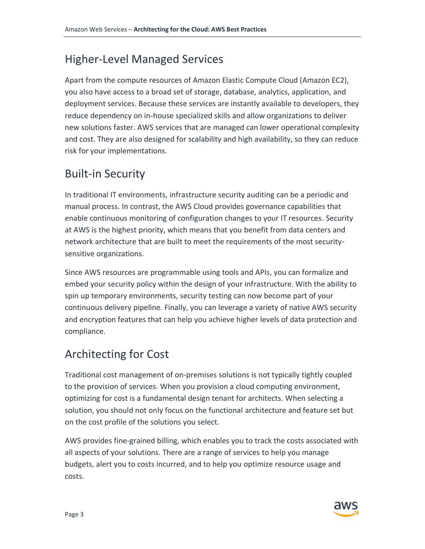# <span id="page-7-0"></span>Higher-Level Managed Services

Apart from the compute resources of Amazon Elastic Compute Cloud (Amazon EC2), you also have access to a broad set of storage, database, analytics, application, and deployment services. Because these services are instantly available to developers, they reduce dependency on in-house specialized skills and allow organizations to deliver new solutions faster. AWS services that are managed can lower operational complexity and cost. They are also designed for scalability and high availability, so they can reduce risk for your implementations.

# <span id="page-7-1"></span>Built-in Security

In traditional IT environments, infrastructure security auditing can be a periodic and manual process. In contrast, the AWS Cloud provides governance capabilities that enable continuous monitoring of configuration changes to your IT resources. Security at AWS is the highest priority, which means that you benefit from data centers and network architecture that are built to meet the requirements of the most securitysensitive organizations.

Since AWS resources are programmable using tools and APIs, you can formalize and embed your security policy within the design of your infrastructure. With the ability to spin up temporary environments, security testing can now become part of your continuous delivery pipeline. Finally, you can leverage a variety of native AWS security and encryption features that can help you achieve higher levels of data protection and compliance.

# <span id="page-7-2"></span>Architecting for Cost

Traditional cost management of on-premises solutions is not typically tightly coupled to the provision of services. When you provision a cloud computing environment, optimizing for cost is a fundamental design tenant for architects. When selecting a solution, you should not only focus on the functional architecture and feature set but on the cost profile of the solutions you select.

AWS provides fine-grained billing, which enables you to track the costs associated with all aspects of your solutions. There are a range of services to help you manage budgets, alert you to costs incurred, and to help you optimize resource usage and costs.

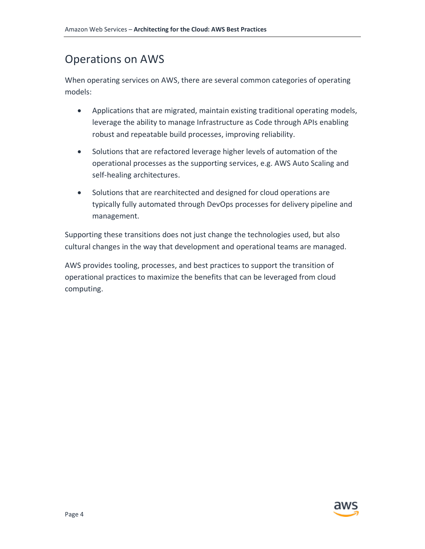# <span id="page-8-0"></span>Operations on AWS

When operating services on AWS, there are several common categories of operating models:

- Applications that are migrated, maintain existing traditional operating models, leverage the ability to manage Infrastructure as Code through APIs enabling robust and repeatable build processes, improving reliability.
- Solutions that are refactored leverage higher levels of automation of the operational processes as the supporting services, e.g. AWS Auto Scaling and self-healing architectures.
- Solutions that are rearchitected and designed for cloud operations are typically fully automated through DevOps processes for delivery pipeline and management.

Supporting these transitions does not just change the technologies used, but also cultural changes in the way that development and operational teams are managed.

<span id="page-8-1"></span>AWS provides tooling, processes, and best practices to support the transition of operational practices to maximize the benefits that can be leveraged from cloud computing.

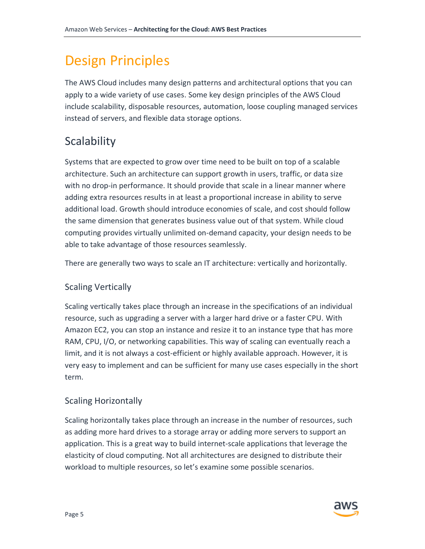# Design Principles

The AWS Cloud includes many design patterns and architectural options that you can apply to a wide variety of use cases. Some key design principles of the AWS Cloud include scalability, disposable resources, automation, loose coupling managed services instead of servers, and flexible data storage options.

# <span id="page-9-0"></span>**Scalability**

Systems that are expected to grow over time need to be built on top of a scalable architecture. Such an architecture can support growth in users, traffic, or data size with no drop-in performance. It should provide that scale in a linear manner where adding extra resources results in at least a proportional increase in ability to serve additional load. Growth should introduce economies of scale, and cost should follow the same dimension that generates business value out of that system. While cloud computing provides virtually unlimited on-demand capacity, your design needs to be able to take advantage of those resources seamlessly.

There are generally two ways to scale an IT architecture: vertically and horizontally.

# Scaling Vertically

Scaling vertically takes place through an increase in the specifications of an individual resource, such as upgrading a server with a larger hard drive or a faster CPU. With Amazon EC2, you can stop an instance and resize it to an instance type that has more RAM, CPU, I/O, or networking capabilities. This way of scaling can eventually reach a limit, and it is not always a cost-efficient or highly available approach. However, it is very easy to implement and can be sufficient for many use cases especially in the short term.

# Scaling Horizontally

Scaling horizontally takes place through an increase in the number of resources, such as adding more hard drives to a storage array or adding more servers to support an application. This is a great way to build internet-scale applications that leverage the elasticity of cloud computing. Not all architectures are designed to distribute their workload to multiple resources, so let's examine some possible scenarios.

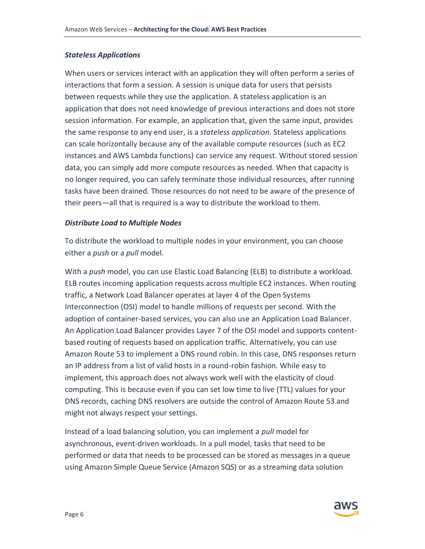#### *Stateless Applications*

When users or services interact with an application they will often perform a series of interactions that form a session. A session is unique data for users that persists between requests while they use the application. A stateless application is an application that does not need knowledge of previous interactions and does not store session information. For example, an application that, given the same input, provides the same response to any end user, is a *stateless application*. Stateless applications can scale horizontally because any of the available compute resources (such as EC2 instances and AWS Lambda functions) can service any request. Without stored session data, you can simply add more compute resources as needed. When that capacity is no longer required, you can safely terminate those individual resources, after running tasks have been drained. Those resources do not need to be aware of the presence of their peers—all that is required is a way to distribute the workload to them.

#### *Distribute Load to Multiple Nodes*

To distribute the workload to multiple nodes in your environment, you can choose either a *push* or a *pull* model.

With a *push* model, you can use Elastic Load Balancing (ELB) to distribute a workload. ELB routes incoming application requests across multiple EC2 instances. When routing traffic, a Network Load Balancer operates at layer 4 of the Open Systems Interconnection (OSI) model to handle millions of requests per second. With the adoption of container-based services, you can also use an Application Load Balancer. An Application Load Balancer provides Layer 7 of the OSI model and supports contentbased routing of requests based on application traffic. Alternatively, you can use Amazon Route 53 to implement a DNS round robin. In this case, DNS responses return an IP address from a list of valid hosts in a round-robin fashion. While easy to implement, this approach does not always work well with the elasticity of cloud computing. This is because even if you can set low time to live (TTL) values for your DNS records, caching DNS resolvers are outside the control of Amazon Route 53 and might not always respect your settings.

Instead of a load balancing solution, you can implement a *pull* model for asynchronous, event-driven workloads. In a pull model, tasks that need to be performed or data that needs to be processed can be stored as messages in a queue using Amazon Simple Queue Service (Amazon SQS) or as a streaming data solution

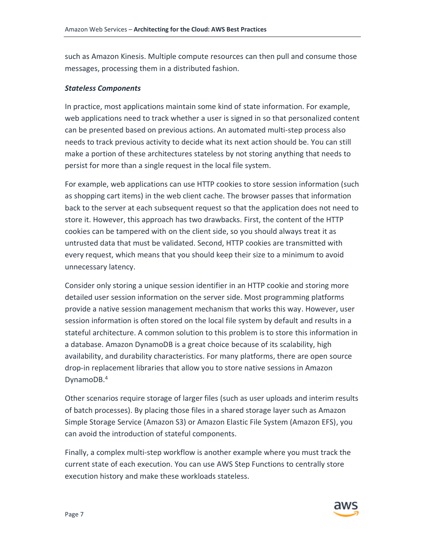such as Amazon Kinesis. Multiple compute resources can then pull and consume those messages, processing them in a distributed fashion.

#### *Stateless Components*

In practice, most applications maintain some kind of state information. For example, web applications need to track whether a user is signed in so that personalized content can be presented based on previous actions. An automated multi-step process also needs to track previous activity to decide what its next action should be. You can still make a portion of these architectures stateless by not storing anything that needs to persist for more than a single request in the local file system.

For example, web applications can use HTTP cookies to store session information (such as shopping cart items) in the web client cache. The browser passes that information back to the server at each subsequent request so that the application does not need to store it. However, this approach has two drawbacks. First, the content of the HTTP cookies can be tampered with on the client side, so you should always treat it as untrusted data that must be validated. Second, HTTP cookies are transmitted with every request, which means that you should keep their size to a minimum to avoid unnecessary latency.

Consider only storing a unique session identifier in an HTTP cookie and storing more detailed user session information on the server side. Most programming platforms provide a native session management mechanism that works this way. However, user session information is often stored on the local file system by default and results in a stateful architecture. A common solution to this problem is to store this information in a database. Amazon DynamoDB is a great choice because of its scalability, high availability, and durability characteristics. For many platforms, there are open source drop-in replacement libraries that allow you to store native sessions in Amazon DynamoDB.<sup>4</sup>

Other scenarios require storage of larger files (such as user uploads and interim results of batch processes). By placing those files in a shared storage layer such as Amazon Simple Storage Service (Amazon S3) or Amazon Elastic File System (Amazon EFS), you can avoid the introduction of stateful components.

Finally, a complex multi-step workflow is another example where you must track the current state of each execution. You can use AWS Step Functions to centrally store execution history and make these workloads stateless.

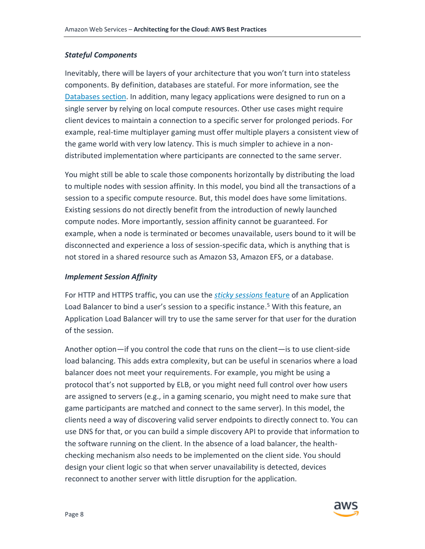#### *Stateful Components*

Inevitably, there will be layers of your architecture that you won't turn into stateless components. By definition, databases are stateful. For more information, see the [Databases](#page-24-0) section. In addition, many legacy applications were designed to run on a single server by relying on local compute resources. Other use cases might require client devices to maintain a connection to a specific server for prolonged periods. For example, real-time multiplayer gaming must offer multiple players a consistent view of the game world with very low latency. This is much simpler to achieve in a nondistributed implementation where participants are connected to the same server.

You might still be able to scale those components horizontally by distributing the load to multiple nodes with session affinity. In this model, you bind all the transactions of a session to a specific compute resource. But, this model does have some limitations. Existing sessions do not directly benefit from the introduction of newly launched compute nodes. More importantly, session affinity cannot be guaranteed. For example, when a node is terminated or becomes unavailable, users bound to it will be disconnected and experience a loss of session-specific data, which is anything that is not stored in a shared resource such as Amazon S3, Amazon EFS, or a database.

#### *Implement Session Affinity*

For HTTP and HTTPS traffic, you can use the *[sticky sessions](http://docs.aws.amazon.com/elasticloadbalancing/latest/classic/elb-sticky-sessions.html)* feature of an Application Load Balancer to bind a user's session to a specific instance.<sup>5</sup> With this feature, an Application Load Balancer will try to use the same server for that user for the duration of the session.

Another option—if you control the code that runs on the client—is to use client-side load balancing. This adds extra complexity, but can be useful in scenarios where a load balancer does not meet your requirements. For example, you might be using a protocol that's not supported by ELB, or you might need full control over how users are assigned to servers (e.g., in a gaming scenario, you might need to make sure that game participants are matched and connect to the same server). In this model, the clients need a way of discovering valid server endpoints to directly connect to. You can use DNS for that, or you can build a simple discovery API to provide that information to the software running on the client. In the absence of a load balancer, the healthchecking mechanism also needs to be implemented on the client side. You should design your client logic so that when server unavailability is detected, devices reconnect to another server with little disruption for the application.

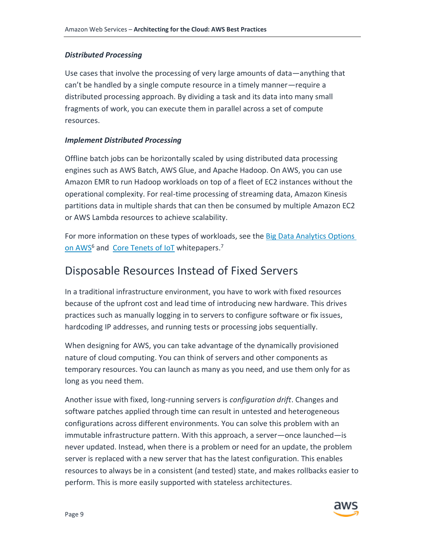### *Distributed Processing*

Use cases that involve the processing of very large amounts of data—anything that can't be handled by a single compute resource in a timely manner—require a distributed processing approach. By dividing a task and its data into many small fragments of work, you can execute them in parallel across a set of compute resources.

### *Implement Distributed Processing*

Offline batch jobs can be horizontally scaled by using distributed data processing engines such as AWS Batch, AWS Glue, and Apache Hadoop. On AWS, you can use Amazon EMR to run Hadoop workloads on top of a fleet of EC2 instances without the operational complexity. For real-time processing of streaming data, Amazon Kinesis partitions data in multiple shards that can then be consumed by multiple Amazon EC2 or AWS Lambda resources to achieve scalability.

For more information on these types of workloads, see the [Big Data Analytics Options](https://d0.awsstatic.com/whitepapers/Big_Data_Analytics_Options_on_AWS.pdf)  [on AWS](https://d0.awsstatic.com/whitepapers/Big_Data_Analytics_Options_on_AWS.pdf)<sup>6</sup> and [Core Tenets of IoT](https://d1.awsstatic.com/whitepapers/core-tenets-of-iot1.pdf) whitepapers.<sup>7</sup>

# <span id="page-13-0"></span>Disposable Resources Instead of Fixed Servers

In a traditional infrastructure environment, you have to work with fixed resources because of the upfront cost and lead time of introducing new hardware. This drives practices such as manually logging in to servers to configure software or fix issues, hardcoding IP addresses, and running tests or processing jobs sequentially.

When designing for AWS, you can take advantage of the dynamically provisioned nature of cloud computing. You can think of servers and other components as temporary resources. You can launch as many as you need, and use them only for as long as you need them.

Another issue with fixed, long-running servers is *configuration drift*. Changes and software patches applied through time can result in untested and heterogeneous configurations across different environments. You can solve this problem with an immutable infrastructure pattern. With this approach, a server—once launched—is never updated. Instead, when there is a problem or need for an update, the problem server is replaced with a new server that has the latest configuration. This enables resources to always be in a consistent (and tested) state, and makes rollbacks easier to perform. This is more easily supported with stateless architectures.

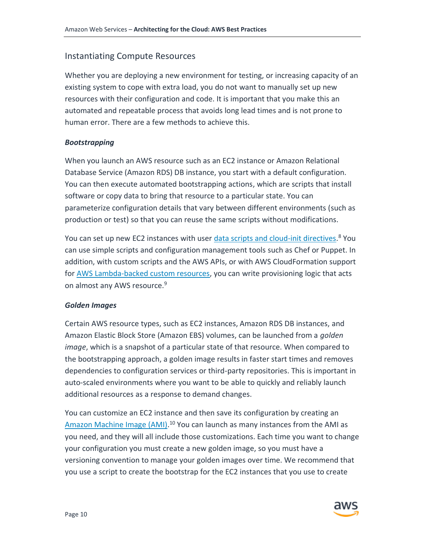### Instantiating Compute Resources

Whether you are deploying a new environment for testing, or increasing capacity of an existing system to cope with extra load, you do not want to manually set up new resources with their configuration and code. It is important that you make this an automated and repeatable process that avoids long lead times and is not prone to human error. There are a few methods to achieve this.

#### *Bootstrapping*

When you launch an AWS resource such as an EC2 instance or Amazon Relational Database Service (Amazon RDS) DB instance, you start with a default configuration. You can then execute automated bootstrapping actions, which are scripts that install software or copy data to bring that resource to a particular state. You can parameterize configuration details that vary between different environments (such as production or test) so that you can reuse the same scripts without modifications.

You can set up new EC2 instances with user [data scripts and cloud-init directives.](http://docs.aws.amazon.com/AWSEC2/latest/UserGuide/ec2-instance-metadata.html)<sup>8</sup> You can use simple scripts and configuration management tools such as Chef or Puppet. In addition, with custom scripts and the AWS APIs, or with AWS CloudFormation support for [AWS Lambda-backed custom resources,](http://docs.aws.amazon.com/AWSCloudFormation/latest/UserGuide/template-custom-resources-lambda.html) you can write provisioning logic that acts on almost any AWS resource.<sup>9</sup>

#### *Golden Images*

Certain AWS resource types, such as EC2 instances, Amazon RDS DB instances, and Amazon Elastic Block Store (Amazon EBS) volumes, can be launched from a *golden image*, which is a snapshot of a particular state of that resource. When compared to the bootstrapping approach, a golden image results in faster start times and removes dependencies to configuration services or third-party repositories. This is important in auto-scaled environments where you want to be able to quickly and reliably launch additional resources as a response to demand changes.

You can customize an EC2 instance and then save its configuration by creating an [Amazon Machine Image \(AMI\).](http://docs.aws.amazon.com/AWSEC2/latest/UserGuide/AMIs.html)<sup>10</sup> You can launch as many instances from the AMI as you need, and they will all include those customizations. Each time you want to change your configuration you must create a new golden image, so you must have a versioning convention to manage your golden images over time. We recommend that you use a script to create the bootstrap for the EC2 instances that you use to create

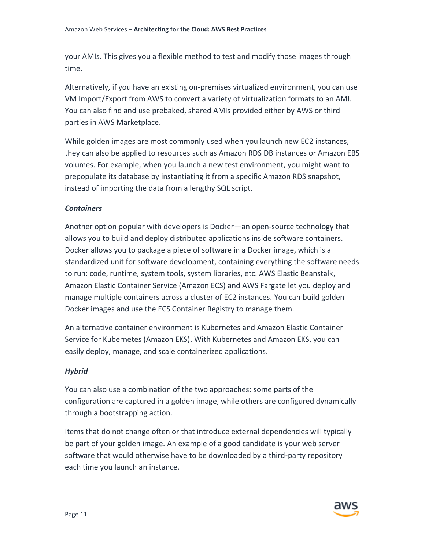your AMIs. This gives you a flexible method to test and modify those images through time.

Alternatively, if you have an existing on-premises virtualized environment, you can use VM Import/Export from AWS to convert a variety of virtualization formats to an AMI. You can also find and use prebaked, shared AMIs provided either by AWS or third parties in AWS Marketplace.

While golden images are most commonly used when you launch new EC2 instances, they can also be applied to resources such as Amazon RDS DB instances or Amazon EBS volumes. For example, when you launch a new test environment, you might want to prepopulate its database by instantiating it from a specific Amazon RDS snapshot, instead of importing the data from a lengthy SQL script.

#### *Containers*

Another option popular with developers is Docker—an open-source technology that allows you to build and deploy distributed applications inside software containers. Docker allows you to package a piece of software in a Docker image, which is a standardized unit for software development, containing everything the software needs to run: code, runtime, system tools, system libraries, etc. AWS Elastic Beanstalk, Amazon Elastic Container Service (Amazon ECS) and AWS Fargate let you deploy and manage multiple containers across a cluster of EC2 instances. You can build golden Docker images and use the ECS Container Registry to manage them.

An alternative container environment is Kubernetes and Amazon Elastic Container Service for Kubernetes (Amazon EKS). With Kubernetes and Amazon EKS, you can easily deploy, manage, and scale containerized applications.

#### *Hybrid*

You can also use a combination of the two approaches: some parts of the configuration are captured in a golden image, while others are configured dynamically through a bootstrapping action.

Items that do not change often or that introduce external dependencies will typically be part of your golden image. An example of a good candidate is your web server software that would otherwise have to be downloaded by a third-party repository each time you launch an instance.

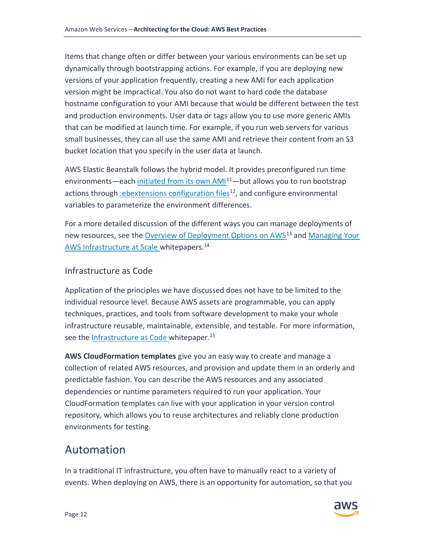Items that change often or differ between your various environments can be set up dynamically through bootstrapping actions. For example, if you are deploying new versions of your application frequently, creating a new AMI for each application version might be impractical. You also do not want to hard code the database hostname configuration to your AMI because that would be different between the test and production environments. User data or tags allow you to use more generic AMIs that can be modified at launch time. For example, if you run web servers for various small businesses, they can all use the same AMI and retrieve their content from an S3 bucket location that you specify in the user data at launch.

AWS Elastic Beanstalk follows the hybrid model. It provides preconfigured run time environments—each [initiated from its own AMI](http://docs.aws.amazon.com/elasticbeanstalk/latest/dg/concepts.platforms.html)<sup>11</sup>—but allows you to run bootstrap actions through *ebextensions configuration files<sup>12</sup>*, and configure environmental variables to parameterize the environment differences.

For a more detailed discussion of the different ways you can manage deployments of new resources, see the [Overview of Deployment Options on AWS](https://d0.awsstatic.com/whitepapers/overview-of-deployment-options-on-aws.pdf)<sup>13</sup> and Managing Your [AWS Infrastructure at Scale](https://d0.awsstatic.com/whitepapers/managing-your-aws-infrastructure-at-scale.pdf) whitepapers.<sup>14</sup>

### Infrastructure as Code

Application of the principles we have discussed does not have to be limited to the individual resource level. Because AWS assets are programmable, you can apply techniques, practices, and tools from software development to make your whole infrastructure reusable, maintainable, extensible, and testable. For more information, see the **Infrastructure as Code** whitepaper.<sup>15</sup>

**AWS CloudFormation templates** give you an easy way to create and manage a collection of related AWS resources, and provision and update them in an orderly and predictable fashion. You can describe the AWS resources and any associated dependencies or runtime parameters required to run your application. Your CloudFormation templates can live with your application in your version control repository, which allows you to reuse architectures and reliably clone production environments for testing.

# <span id="page-16-0"></span>Automation

In a traditional IT infrastructure, you often have to manually react to a variety of events. When deploying on AWS, there is an opportunity for automation, so that you

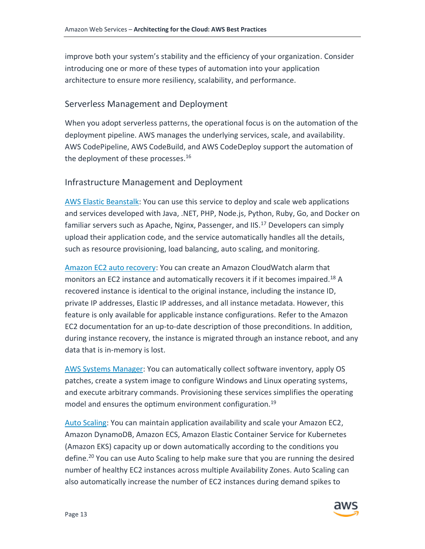improve both your system's stability and the efficiency of your organization. Consider introducing one or more of these types of automation into your application architecture to ensure more resiliency, scalability, and performance.

#### Serverless Management and Deployment

When you adopt serverless patterns, the operational focus is on the automation of the deployment pipeline. AWS manages the underlying services, scale, and availability. AWS CodePipeline, AWS CodeBuild, and AWS CodeDeploy support the automation of the deployment of these processes.<sup>16</sup>

#### Infrastructure Management and Deployment

[AWS Elastic Beanstalk:](https://aws.amazon.com/elasticbeanstalk/) You can use this service to deploy and scale web applications and services developed with Java, .NET, PHP, Node.js, Python, Ruby, Go, and Docker on familiar servers such as Apache, Nginx, Passenger, and IIS.<sup>17</sup> Developers can simply upload their application code, and the service automatically handles all the details, such as resource provisioning, load balancing, auto scaling, and monitoring.

[Amazon EC2 auto recovery:](http://docs.aws.amazon.com/AWSEC2/latest/UserGuide/ec2-instance-recover.html) You can create an Amazon CloudWatch alarm that monitors an EC2 instance and automatically recovers it if it becomes impaired.<sup>18</sup> A recovered instance is identical to the original instance, including the instance ID, private IP addresses, Elastic IP addresses, and all instance metadata. However, this feature is only available for applicable instance configurations. Refer to the Amazon EC2 documentation for an up-to-date description of those preconditions. In addition, during instance recovery, the instance is migrated through an instance reboot, and any data that is in-memory is lost.

[AWS Systems Manager:](https://aws.amazon.com/ec2/systems-manager/) You can automatically collect software inventory, apply OS patches, create a system image to configure Windows and Linux operating systems, and execute arbitrary commands. Provisioning these services simplifies the operating model and ensures the optimum environment configuration.<sup>19</sup>

[Auto Scaling:](https://aws.amazon.com/autoscaling/) You can maintain application availability and scale your Amazon EC2, Amazon DynamoDB, Amazon ECS, Amazon Elastic Container Service for Kubernetes (Amazon EKS) capacity up or down automatically according to the conditions you define.<sup>20</sup> You can use Auto Scaling to help make sure that you are running the desired number of healthy EC2 instances across multiple Availability Zones. Auto Scaling can also automatically increase the number of EC2 instances during demand spikes to

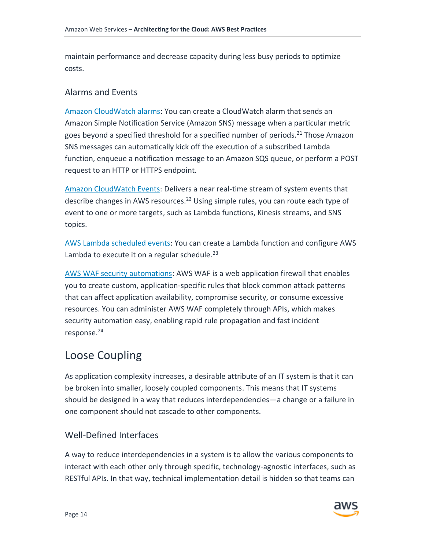maintain performance and decrease capacity during less busy periods to optimize costs.

#### Alarms and Events

[Amazon CloudWatch alarms:](http://docs.aws.amazon.com/AmazonCloudWatch/latest/DeveloperGuide/AlarmThatSendsEmail.html) You can create a CloudWatch alarm that sends an Amazon Simple Notification Service (Amazon SNS) message when a particular metric goes beyond a specified threshold for a specified number of periods.<sup>21</sup> Those Amazon SNS messages can automatically kick off the execution of a subscribed Lambda function, enqueue a notification message to an Amazon SQS queue, or perform a POST request to an HTTP or HTTPS endpoint.

[Amazon CloudWatch Events:](http://docs.aws.amazon.com/AmazonCloudWatch/latest/DeveloperGuide/WhatIsCloudWatchEvents.html) Delivers a near real-time stream of system events that describe changes in AWS resources.<sup>22</sup> Using simple rules, you can route each type of event to one or more targets, such as Lambda functions, Kinesis streams, and SNS topics.

[AWS Lambda scheduled events:](http://docs.aws.amazon.com/lambda/latest/dg/with-scheduled-events.html) You can create a Lambda function and configure AWS Lambda to execute it on a regular schedule.<sup>23</sup>

[AWS WAF security automations:](https://aws.amazon.com/answers/security/aws-waf-security-automations/) AWS WAF is a web application firewall that enables you to create custom, application-specific rules that block common attack patterns that can affect application availability, compromise security, or consume excessive resources. You can administer AWS WAF completely through APIs, which makes security automation easy, enabling rapid rule propagation and fast incident response.<sup>24</sup>

# <span id="page-18-0"></span>Loose Coupling

As application complexity increases, a desirable attribute of an IT system is that it can be broken into smaller, loosely coupled components. This means that IT systems should be designed in a way that reduces interdependencies—a change or a failure in one component should not cascade to other components.

### Well-Defined Interfaces

A way to reduce interdependencies in a system is to allow the various components to interact with each other only through specific, technology-agnostic interfaces, such as RESTful APIs. In that way, technical implementation detail is hidden so that teams can

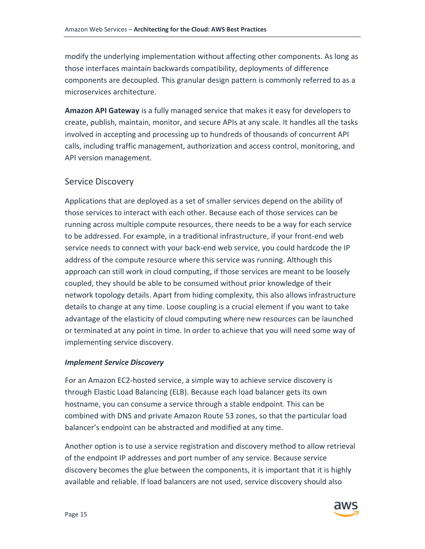modify the underlying implementation without affecting other components. As long as those interfaces maintain backwards compatibility, deployments of difference components are decoupled. This granular design pattern is commonly referred to as a microservices architecture.

**Amazon API Gateway** is a fully managed service that makes it easy for developers to create, publish, maintain, monitor, and secure APIs at any scale. It handles all the tasks involved in accepting and processing up to hundreds of thousands of concurrent API calls, including traffic management, authorization and access control, monitoring, and API version management.

#### Service Discovery

Applications that are deployed as a set of smaller services depend on the ability of those services to interact with each other. Because each of those services can be running across multiple compute resources, there needs to be a way for each service to be addressed. For example, in a traditional infrastructure, if your front-end web service needs to connect with your back-end web service, you could hardcode the IP address of the compute resource where this service was running. Although this approach can still work in cloud computing, if those services are meant to be loosely coupled, they should be able to be consumed without prior knowledge of their network topology details. Apart from hiding complexity, this also allows infrastructure details to change at any time. Loose coupling is a crucial element if you want to take advantage of the elasticity of cloud computing where new resources can be launched or terminated at any point in time. In order to achieve that you will need some way of implementing service discovery.

#### *Implement Service Discovery*

For an Amazon EC2-hosted service, a simple way to achieve service discovery is through Elastic Load Balancing (ELB). Because each load balancer gets its own hostname, you can consume a service through a stable endpoint. This can be combined with DNS and private Amazon Route 53 zones, so that the particular load balancer's endpoint can be abstracted and modified at any time.

Another option is to use a service registration and discovery method to allow retrieval of the endpoint IP addresses and port number of any service. Because service discovery becomes the glue between the components, it is important that it is highly available and reliable. If load balancers are not used, service discovery should also

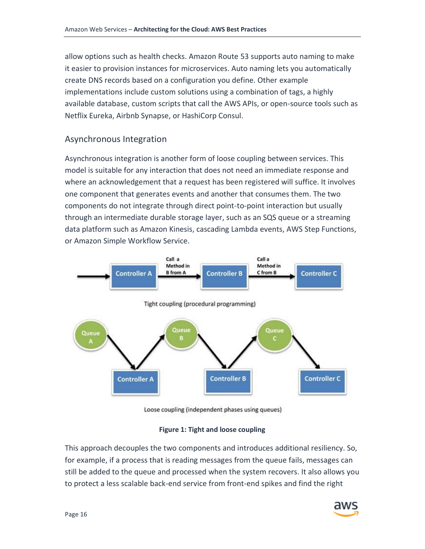allow options such as health checks. Amazon Route 53 supports auto naming to make it easier to provision instances for microservices. Auto naming lets you automatically create DNS records based on a configuration you define. Other example implementations include custom solutions using a combination of tags, a highly available database, custom scripts that call the AWS APIs, or open-source tools such as Netflix Eureka, Airbnb Synapse, or HashiCorp Consul.

## Asynchronous Integration

Asynchronous integration is another form of loose coupling between services. This model is suitable for any interaction that does not need an immediate response and where an acknowledgement that a request has been registered will suffice. It involves one component that generates events and another that consumes them. The two components do not integrate through direct point-to-point interaction but usually through an intermediate durable storage layer, such as an SQS queue or a streaming data platform such as Amazon Kinesis, cascading Lambda events, AWS Step Functions, or Amazon Simple Workflow Service.



Loose coupling (independent phases using queues)

#### **Figure 1: Tight and loose coupling**

This approach decouples the two components and introduces additional resiliency. So, for example, if a process that is reading messages from the queue fails, messages can still be added to the queue and processed when the system recovers. It also allows you to protect a less scalable back-end service from front-end spikes and find the right

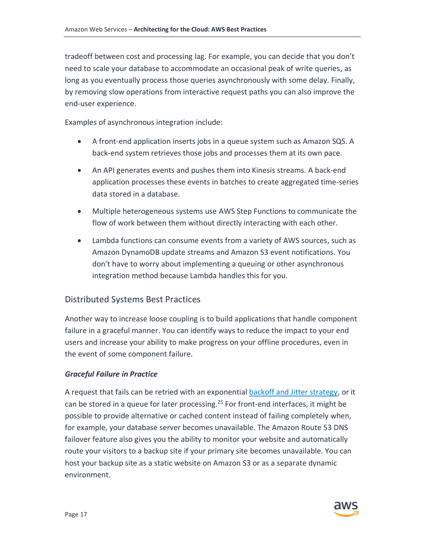tradeoff between cost and processing lag. For example, you can decide that you don't need to scale your database to accommodate an occasional peak of write queries, as long as you eventually process those queries asynchronously with some delay. Finally, by removing slow operations from interactive request paths you can also improve the end-user experience.

Examples of asynchronous integration include:

- A front-end application inserts jobs in a queue system such as Amazon SQS. A back-end system retrieves those jobs and processes them at its own pace.
- An API generates events and pushes them into Kinesis streams. A back-end application processes these events in batches to create aggregated time-series data stored in a database.
- Multiple heterogeneous systems use AWS Step Functions to communicate the flow of work between them without directly interacting with each other.
- Lambda functions can consume events from a variety of AWS sources, such as Amazon DynamoDB update streams and Amazon S3 event notifications. You don't have to worry about implementing a queuing or other asynchronous integration method because Lambda handles this for you.

## <span id="page-21-0"></span>Distributed Systems Best Practices

Another way to increase loose coupling is to build applications that handle component failure in a graceful manner. You can identify ways to reduce the impact to your end users and increase your ability to make progress on your offline procedures, even in the event of some component failure.

### *Graceful Failure in Practice*

A request that fails can be retried with an exponential **backoff and Jitter strategy**, or it can be stored in a queue for later processing.<sup>25</sup> For front-end interfaces, it might be possible to provide alternative or cached content instead of failing completely when, for example, your database server becomes unavailable. The Amazon Route 53 DNS failover feature also gives you the ability to monitor your website and automatically route your visitors to a backup site if your primary site becomes unavailable. You can host your backup site as a static website on Amazon S3 or as a separate dynamic environment.

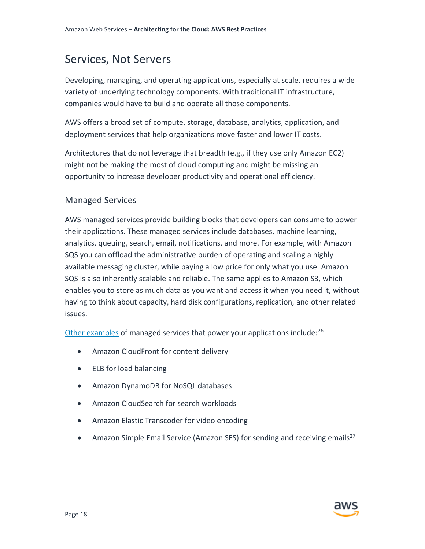# <span id="page-22-0"></span>Services, Not Servers

Developing, managing, and operating applications, especially at scale, requires a wide variety of underlying technology components. With traditional IT infrastructure, companies would have to build and operate all those components.

AWS offers a broad set of compute, storage, database, analytics, application, and deployment services that help organizations move faster and lower IT costs.

Architectures that do not leverage that breadth (e.g., if they use only Amazon EC2) might not be making the most of cloud computing and might be missing an opportunity to increase developer productivity and operational efficiency.

## Managed Services

AWS managed services provide building blocks that developers can consume to power their applications. These managed services include databases, machine learning, analytics, queuing, search, email, notifications, and more. For example, with Amazon SQS you can offload the administrative burden of operating and scaling a highly available messaging cluster, while paying a low price for only what you use. Amazon SQS is also inherently scalable and reliable. The same applies to Amazon S3, which enables you to store as much data as you want and access it when you need it, without having to think about capacity, hard disk configurations, replication, and other related issues.

[Other examples](http://aws.amazon.com/products/) of managed services that power your applications include:  $2^6$ 

- Amazon CloudFront for content delivery
- ELB for load balancing
- Amazon DynamoDB for NoSQL databases
- Amazon CloudSearch for search workloads
- Amazon Elastic Transcoder for video encoding
- Amazon Simple Email Service (Amazon SES) for sending and receiving emails<sup>27</sup>

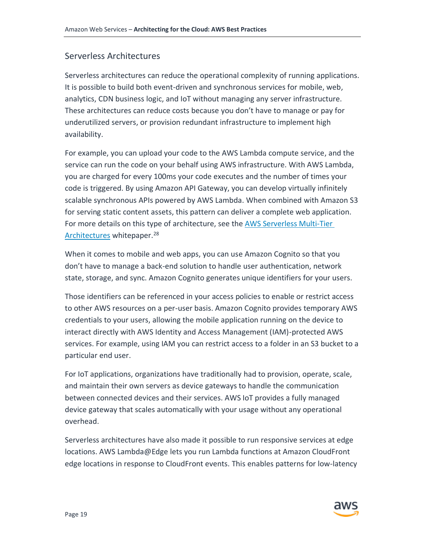### Serverless Architectures

Serverless architectures can reduce the operational complexity of running applications. It is possible to build both event-driven and synchronous services for mobile, web, analytics, CDN business logic, and IoT without managing any server infrastructure. These architectures can reduce costs because you don't have to manage or pay for underutilized servers, or provision redundant infrastructure to implement high availability.

For example, you can upload your code to the AWS Lambda compute service, and the service can run the code on your behalf using AWS infrastructure. With AWS Lambda, you are charged for every 100ms your code executes and the number of times your code is triggered. By using Amazon API Gateway, you can develop virtually infinitely scalable synchronous APIs powered by AWS Lambda. When combined with Amazon S3 for serving static content assets, this pattern can deliver a complete web application. For more details on this type of architecture, see th[e AWS Serverless Multi-Tier](https://d0.awsstatic.com/whitepapers/AWS_Serverless_Multi-Tier_Architectures.pdf)  [Architectures](https://d0.awsstatic.com/whitepapers/AWS_Serverless_Multi-Tier_Architectures.pdf) whitepaper.<sup>28</sup>

When it comes to mobile and web apps, you can use Amazon Cognito so that you don't have to manage a back-end solution to handle user authentication, network state, storage, and sync. Amazon Cognito generates unique identifiers for your users.

Those identifiers can be referenced in your access policies to enable or restrict access to other AWS resources on a per-user basis. Amazon Cognito provides temporary AWS credentials to your users, allowing the mobile application running on the device to interact directly with AWS Identity and Access Management (IAM)-protected AWS services. For example, using IAM you can restrict access to a folder in an S3 bucket to a particular end user.

For IoT applications, organizations have traditionally had to provision, operate, scale, and maintain their own servers as device gateways to handle the communication between connected devices and their services. AWS IoT provides a fully managed device gateway that scales automatically with your usage without any operational overhead.

Serverless architectures have also made it possible to run responsive services at edge locations. AWS Lambda@Edge lets you run Lambda functions at Amazon CloudFront edge locations in response to CloudFront events. This enables patterns for low-latency

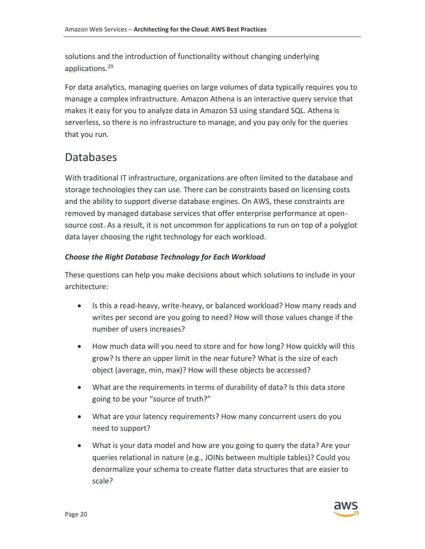solutions and the introduction of functionality without changing underlying applications.<sup>29</sup>

For data analytics, managing queries on large volumes of data typically requires you to manage a complex infrastructure. Amazon Athena is an interactive query service that makes it easy for you to analyze data in Amazon S3 using standard SQL. Athena is serverless, so there is no infrastructure to manage, and you pay only for the queries that you run.

# <span id="page-24-0"></span>**Databases**

With traditional IT infrastructure, organizations are often limited to the database and storage technologies they can use. There can be constraints based on licensing costs and the ability to support diverse database engines. On AWS, these constraints are removed by managed database services that offer enterprise performance at opensource cost. As a result, it is not uncommon for applications to run on top of a polyglot data layer choosing the right technology for each workload.

### *Choose the Right Database Technology for Each Workload*

These questions can help you make decisions about which solutions to include in your architecture:

- Is this a read-heavy, write-heavy, or balanced workload? How many reads and writes per second are you going to need? How will those values change if the number of users increases?
- How much data will you need to store and for how long? How quickly will this grow? Is there an upper limit in the near future? What is the size of each object (average, min, max)? How will these objects be accessed?
- What are the requirements in terms of durability of data? Is this data store going to be your "source of truth?"
- What are your latency requirements? How many concurrent users do you need to support?
- What is your data model and how are you going to query the data? Are your queries relational in nature (e.g., JOINs between multiple tables)? Could you denormalize your schema to create flatter data structures that are easier to scale?

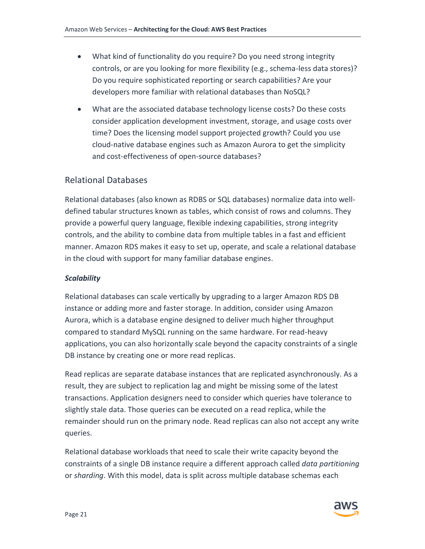- What kind of functionality do you require? Do you need strong integrity controls, or are you looking for more flexibility (e.g., schema-less data stores)? Do you require sophisticated reporting or search capabilities? Are your developers more familiar with relational databases than NoSQL?
- What are the associated database technology license costs? Do these costs consider application development investment, storage, and usage costs over time? Does the licensing model support projected growth? Could you use cloud-native database engines such as Amazon Aurora to get the simplicity and cost-effectiveness of open-source databases?

## Relational Databases

Relational databases (also known as RDBS or SQL databases) normalize data into welldefined tabular structures known as tables, which consist of rows and columns. They provide a powerful query language, flexible indexing capabilities, strong integrity controls, and the ability to combine data from multiple tables in a fast and efficient manner. Amazon RDS makes it easy to set up, operate, and scale a relational database in the cloud with support for many familiar database engines.

#### *Scalability*

Relational databases can scale vertically by upgrading to a larger Amazon RDS DB instance or adding more and faster storage. In addition, consider using Amazon Aurora, which is a database engine designed to deliver much higher throughput compared to standard MySQL running on the same hardware. For read-heavy applications, you can also horizontally scale beyond the capacity constraints of a single DB instance by creating one or more read replicas.

Read replicas are separate database instances that are replicated asynchronously. As a result, they are subject to replication lag and might be missing some of the latest transactions. Application designers need to consider which queries have tolerance to slightly stale data. Those queries can be executed on a read replica, while the remainder should run on the primary node. Read replicas can also not accept any write queries.

Relational database workloads that need to scale their write capacity beyond the constraints of a single DB instance require a different approach called *data partitioning*  or *sharding*. With this model, data is split across multiple database schemas each

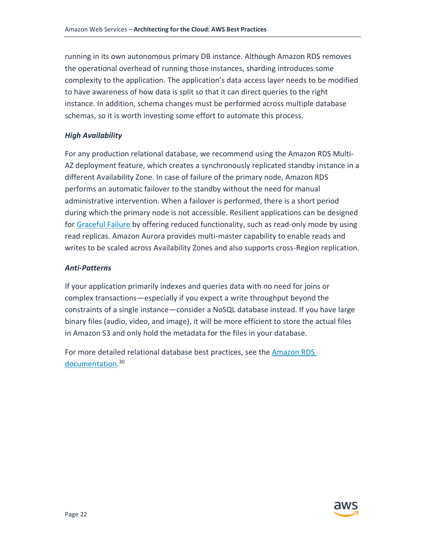running in its own autonomous primary DB instance. Although Amazon RDS removes the operational overhead of running those instances, sharding introduces some complexity to the application. The application's data access layer needs to be modified to have awareness of how data is split so that it can direct queries to the right instance. In addition, schema changes must be performed across multiple database schemas, so it is worth investing some effort to automate this process.

#### *High Availability*

For any production relational database, we recommend using the Amazon RDS Multi-AZ deployment feature, which creates a synchronously replicated standby instance in a different Availability Zone. In case of failure of the primary node, Amazon RDS performs an automatic failover to the standby without the need for manual administrative intervention. When a failover is performed, there is a short period during which the primary node is not accessible. Resilient applications can be designed for [Graceful Failure](#page-21-0) by offering reduced functionality, such as read-only mode by using read replicas. Amazon Aurora provides multi-master capability to enable reads and writes to be scaled across Availability Zones and also supports cross-Region replication.

#### *Anti-Patterns*

If your application primarily indexes and queries data with no need for joins or complex transactions—especially if you expect a write throughput beyond the constraints of a single instance—consider a NoSQL database instead. If you have large binary files (audio, video, and image), it will be more efficient to store the actual files in Amazon S3 and only hold the metadata for the files in your database.

For more detailed relational database best practices, see the [Amazon RDS](http://docs.aws.amazon.com/AmazonRDS/latest/UserGuide/CHAP_BestPractices.html)  [documentation.](http://docs.aws.amazon.com/AmazonRDS/latest/UserGuide/CHAP_BestPractices.html)<sup>30</sup>

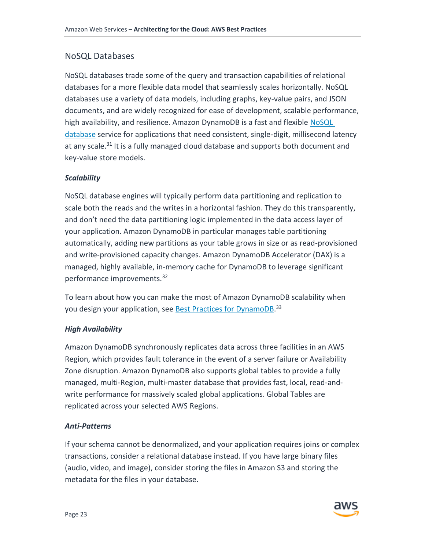# NoSQL Databases

NoSQL databases trade some of the query and transaction capabilities of relational databases for a more flexible data model that seamlessly scales horizontally. NoSQL databases use a variety of data models, including graphs, key-value pairs, and JSON documents, and are widely recognized for ease of development, scalable performance, high availability, and resilience. Amazon DynamoDB is a fast and flexible [NoSQL](https://aws.amazon.com/nosql/)  [database](https://aws.amazon.com/nosql/) service for applications that need consistent, single-digit, millisecond latency at any scale.<sup>31</sup> It is a fully managed cloud database and supports both document and key-value store models.

### *Scalability*

NoSQL database engines will typically perform data partitioning and replication to scale both the reads and the writes in a horizontal fashion. They do this transparently, and don't need the data partitioning logic implemented in the data access layer of your application. Amazon DynamoDB in particular manages table partitioning automatically, adding new partitions as your table grows in size or as read-provisioned and write-provisioned capacity changes. Amazon DynamoDB Accelerator (DAX) is a managed, highly available, in-memory cache for DynamoDB to leverage significant performance improvements.<sup>32</sup>

To learn about how you can make the most of Amazon DynamoDB scalability when you design your application, see **Best Practices for DynamoDB**.<sup>33</sup>

### *High Availability*

Amazon DynamoDB synchronously replicates data across three facilities in an AWS Region, which provides fault tolerance in the event of a server failure or Availability Zone disruption. Amazon DynamoDB also supports global tables to provide a fully managed, multi-Region, multi-master database that provides fast, local, read-andwrite performance for massively scaled global applications. Global Tables are replicated across your selected AWS Regions.

### *Anti-Patterns*

If your schema cannot be denormalized, and your application requires joins or complex transactions, consider a relational database instead. If you have large binary files (audio, video, and image), consider storing the files in Amazon S3 and storing the metadata for the files in your database.

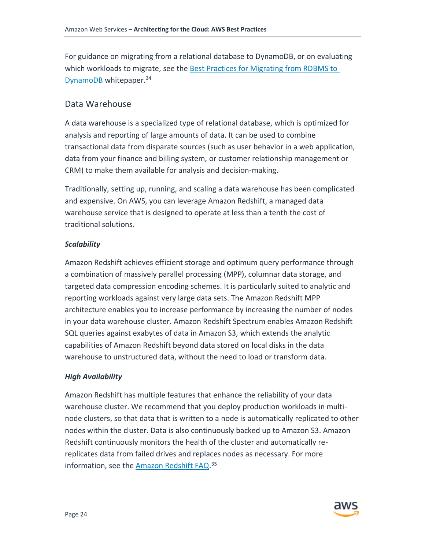For guidance on migrating from a relational database to DynamoDB, or on evaluating which workloads to migrate, see the Best Practices for Migrating from RDBMS to [DynamoDB](https://d0.awsstatic.com/whitepapers/migration-best-practices-rdbms-to-dynamodb.pdf) whitepaper.<sup>34</sup>

## Data Warehouse

A data warehouse is a specialized type of relational database, which is optimized for analysis and reporting of large amounts of data. It can be used to combine transactional data from disparate sources (such as user behavior in a web application, data from your finance and billing system, or customer relationship management or CRM) to make them available for analysis and decision-making.

Traditionally, setting up, running, and scaling a data warehouse has been complicated and expensive. On AWS, you can leverage Amazon Redshift, a managed data warehouse service that is designed to operate at less than a tenth the cost of traditional solutions.

#### *Scalability*

Amazon Redshift achieves efficient storage and optimum query performance through a combination of massively parallel processing (MPP), columnar data storage, and targeted data compression encoding schemes. It is particularly suited to analytic and reporting workloads against very large data sets. The Amazon Redshift MPP architecture enables you to increase performance by increasing the number of nodes in your data warehouse cluster. Amazon Redshift Spectrum enables Amazon Redshift SQL queries against exabytes of data in Amazon S3, which extends the analytic capabilities of Amazon Redshift beyond data stored on local disks in the data warehouse to unstructured data, without the need to load or transform data.

#### *High Availability*

Amazon Redshift has multiple features that enhance the reliability of your data warehouse cluster. We recommend that you deploy production workloads in multinode clusters, so that data that is written to a node is automatically replicated to other nodes within the cluster. Data is also continuously backed up to Amazon S3. Amazon Redshift continuously monitors the health of the cluster and automatically rereplicates data from failed drives and replaces nodes as necessary. For more information, see the [Amazon Redshift FAQ.](https://aws.amazon.com/redshift/faqs/)<sup>35</sup>

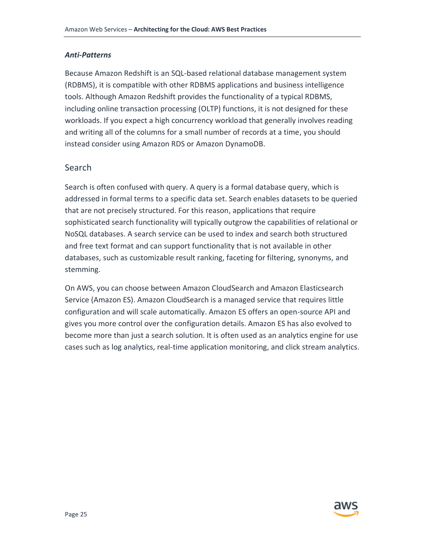#### *Anti-Patterns*

Because Amazon Redshift is an SQL-based relational database management system (RDBMS), it is compatible with other RDBMS applications and business intelligence tools. Although Amazon Redshift provides the functionality of a typical RDBMS, including online transaction processing (OLTP) functions, it is not designed for these workloads. If you expect a high concurrency workload that generally involves reading and writing all of the columns for a small number of records at a time, you should instead consider using Amazon RDS or Amazon DynamoDB.

### Search

Search is often confused with query. A query is a formal database query, which is addressed in formal terms to a specific data set. Search enables datasets to be queried that are not precisely structured. For this reason, applications that require sophisticated search functionality will typically outgrow the capabilities of relational or NoSQL databases. A search service can be used to index and search both structured and free text format and can support functionality that is not available in other databases, such as customizable result ranking, faceting for filtering, synonyms, and stemming.

On AWS, you can choose between Amazon CloudSearch and Amazon Elasticsearch Service (Amazon ES). Amazon CloudSearch is a managed service that requires little configuration and will scale automatically. Amazon ES offers an open-source API and gives you more control over the configuration details. Amazon ES has also evolved to become more than just a search solution. It is often used as an analytics engine for use cases such as log analytics, real-time application monitoring, and click stream analytics.

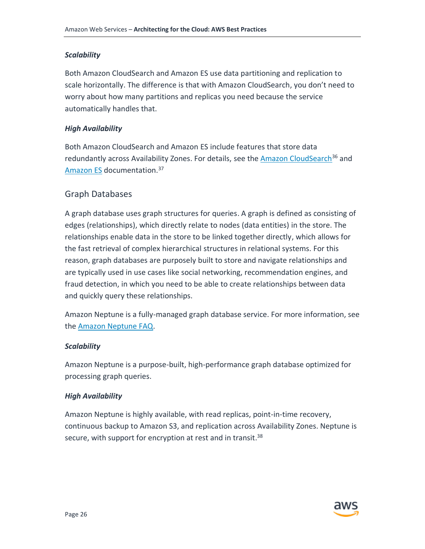#### *Scalability*

Both Amazon CloudSearch and Amazon ES use data partitioning and replication to scale horizontally. The difference is that with Amazon CloudSearch, you don't need to worry about how many partitions and replicas you need because the service automatically handles that.

#### *High Availability*

Both Amazon CloudSearch and Amazon ES include features that store data redundantly across Availability Zones. For details, see the [Amazon CloudSearch](https://aws.amazon.com/documentation/cloudsearch/)<sup>36</sup> and [Amazon ES](https://aws.amazon.com/documentation/elasticsearch-service/) documentation.<sup>37</sup>

### Graph Databases

A graph database uses graph structures for queries. A graph is defined as consisting of edges (relationships), which directly relate to nodes (data entities) in the store. The relationships enable data in the store to be linked together directly, which allows for the fast retrieval of complex hierarchical structures in relational systems. For this reason, graph databases are purposely built to store and navigate relationships and are typically used in use cases like social networking, recommendation engines, and fraud detection, in which you need to be able to create relationships between data and quickly query these relationships.

Amazon Neptune is a fully-managed graph database service. For more information, see the [Amazon Neptune FAQ.](https://aws.amazon.com/neptune/faqs/)

#### *Scalability*

Amazon Neptune is a purpose-built, high-performance graph database optimized for processing graph queries.

#### *High Availability*

<span id="page-30-0"></span>Amazon Neptune is highly available, with read replicas, point-in-time recovery, continuous backup to Amazon S3, and replication across Availability Zones. Neptune is secure, with support for encryption at rest and in transit.<sup>38</sup>

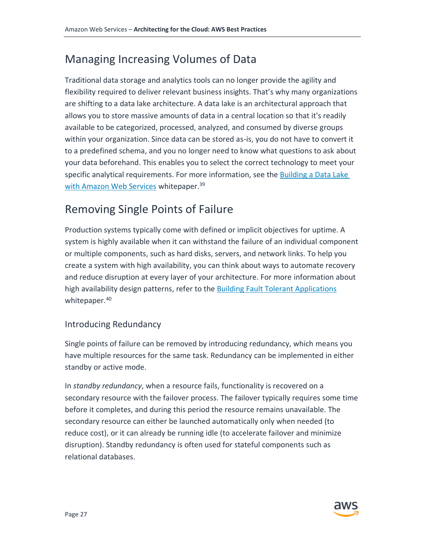# Managing Increasing Volumes of Data

Traditional data storage and analytics tools can no longer provide the agility and flexibility required to deliver relevant business insights. That's why many organizations are shifting to a data lake architecture. A data lake is an architectural approach that allows you to store massive amounts of data in a central location so that it's readily available to be categorized, processed, analyzed, and consumed by diverse groups within your organization. Since data can be stored as-is, you do not have to convert it to a predefined schema, and you no longer need to know what questions to ask about your data beforehand. This enables you to select the correct technology to meet your specific analytical requirements. For more information, see the **Building a Data Lake** [with Amazon Web Services](https://d0.awsstatic.com/whitepapers/Storage/data-lake-on-aws.pdf) whitepaper.<sup>39</sup>

# <span id="page-31-0"></span>Removing Single Points of Failure

Production systems typically come with defined or implicit objectives for uptime. A system is highly available when it can withstand the failure of an individual component or multiple components, such as hard disks, servers, and network links. To help you create a system with high availability, you can think about ways to automate recovery and reduce disruption at every layer of your architecture. For more information about high availability design patterns, refer to the [Building Fault Tolerant Applications](https://d0.awsstatic.com/whitepapers/aws-building-fault-tolerant-applications.pdf) whitepaper.<sup>40</sup>

# Introducing Redundancy

Single points of failure can be removed by introducing redundancy, which means you have multiple resources for the same task. Redundancy can be implemented in either standby or active mode.

In *standby redundancy*, when a resource fails, functionality is recovered on a secondary resource with the failover process. The failover typically requires some time before it completes, and during this period the resource remains unavailable. The secondary resource can either be launched automatically only when needed (to reduce cost), or it can already be running idle (to accelerate failover and minimize disruption). Standby redundancy is often used for stateful components such as relational databases.

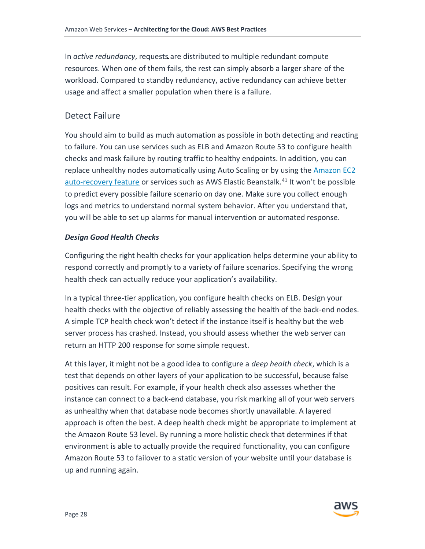In *active redundancy*, requests are distributed to multiple redundant compute resources. When one of them fails, the rest can simply absorb a larger share of the workload. Compared to standby redundancy, active redundancy can achieve better usage and affect a smaller population when there is a failure.

### Detect Failure

You should aim to build as much automation as possible in both detecting and reacting to failure. You can use services such as ELB and Amazon Route 53 to configure health checks and mask failure by routing traffic to healthy endpoints. In addition, you can replace unhealthy nodes automatically using Auto Scaling or by using the Amazon EC2 [auto-recovery feature](http://docs.aws.amazon.com/AWSEC2/latest/UserGuide/ec2-instance-recover.html) or services such as AWS Elastic Beanstalk.<sup>41</sup> It won't be possible to predict every possible failure scenario on day one. Make sure you collect enough logs and metrics to understand normal system behavior. After you understand that, you will be able to set up alarms for manual intervention or automated response.

#### *Design Good Health Checks*

Configuring the right health checks for your application helps determine your ability to respond correctly and promptly to a variety of failure scenarios. Specifying the wrong health check can actually reduce your application's availability.

In a typical three-tier application, you configure health checks on ELB. Design your health checks with the objective of reliably assessing the health of the back-end nodes. A simple TCP health check won't detect if the instance itself is healthy but the web server process has crashed. Instead, you should assess whether the web server can return an HTTP 200 response for some simple request.

At this layer, it might not be a good idea to configure a *deep health check*, which is a test that depends on other layers of your application to be successful, because false positives can result. For example, if your health check also assesses whether the instance can connect to a back-end database, you risk marking all of your web servers as unhealthy when that database node becomes shortly unavailable. A layered approach is often the best. A deep health check might be appropriate to implement at the Amazon Route 53 level. By running a more holistic check that determines if that environment is able to actually provide the required functionality, you can configure Amazon Route 53 to failover to a static version of your website until your database is up and running again.

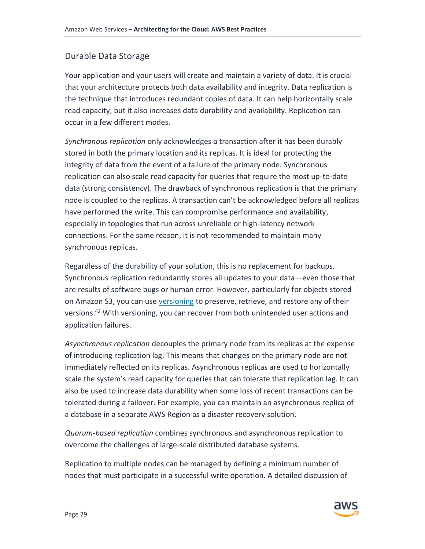### Durable Data Storage

Your application and your users will create and maintain a variety of data. It is crucial that your architecture protects both data availability and integrity. Data replication is the technique that introduces redundant copies of data. It can help horizontally scale read capacity, but it also increases data durability and availability. Replication can occur in a few different modes.

*Synchronous replication* only acknowledges a transaction after it has been durably stored in both the primary location and its replicas. It is ideal for protecting the integrity of data from the event of a failure of the primary node. Synchronous replication can also scale read capacity for queries that require the most up-to-date data (strong consistency). The drawback of synchronous replication is that the primary node is coupled to the replicas. A transaction can't be acknowledged before all replicas have performed the write. This can compromise performance and availability, especially in topologies that run across unreliable or high-latency network connections. For the same reason, it is not recommended to maintain many synchronous replicas.

Regardless of the durability of your solution, this is no replacement for backups. Synchronous replication redundantly stores all updates to your data—even those that are results of software bugs or human error. However, particularly for objects stored on Amazon S3, you can use [versioning](http://docs.aws.amazon.com/AmazonS3/latest/dev/Versioning.html) to preserve, retrieve, and restore any of their versions.<sup>42</sup> With versioning, you can recover from both unintended user actions and application failures.

*Asynchronous replication* decouples the primary node from its replicas at the expense of introducing replication lag. This means that changes on the primary node are not immediately reflected on its replicas. Asynchronous replicas are used to horizontally scale the system's read capacity for queries that can tolerate that replication lag. It can also be used to increase data durability when some loss of recent transactions can be tolerated during a failover. For example, you can maintain an asynchronous replica of a database in a separate AWS Region as a disaster recovery solution.

*Quorum-based replication* combines synchronous and asynchronous replication to overcome the challenges of large-scale distributed database systems.

Replication to multiple nodes can be managed by defining a minimum number of nodes that must participate in a successful write operation. A detailed discussion of

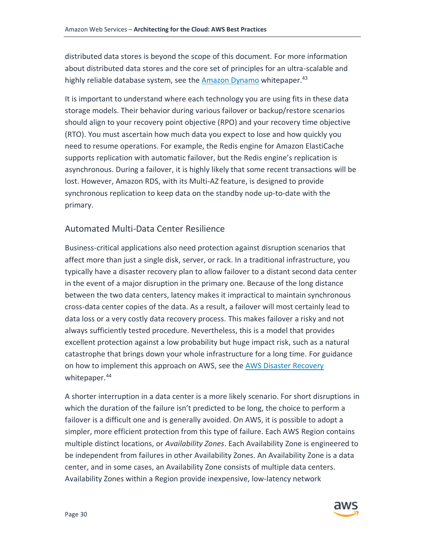distributed data stores is beyond the scope of this document. For more information about distributed data stores and the core set of principles for an ultra-scalable and highly reliable database system, see the [Amazon Dynamo](http://www.allthingsdistributed.com/2007/10/amazons_dynamo.html) whitepaper.<sup>43</sup>

It is important to understand where each technology you are using fits in these data storage models. Their behavior during various failover or backup/restore scenarios should align to your recovery point objective (RPO) and your recovery time objective (RTO). You must ascertain how much data you expect to lose and how quickly you need to resume operations. For example, the Redis engine for Amazon ElastiCache supports replication with automatic failover, but the Redis engine's replication is asynchronous. During a failover, it is highly likely that some recent transactions will be lost. However, Amazon RDS, with its Multi-AZ feature, is designed to provide synchronous replication to keep data on the standby node up-to-date with the primary.

## Automated Multi-Data Center Resilience

Business-critical applications also need protection against disruption scenarios that affect more than just a single disk, server, or rack. In a traditional infrastructure, you typically have a disaster recovery plan to allow failover to a distant second data center in the event of a major disruption in the primary one. Because of the long distance between the two data centers, latency makes it impractical to maintain synchronous cross-data center copies of the data. As a result, a failover will most certainly lead to data loss or a very costly data recovery process. This makes failover a risky and not always sufficiently tested procedure. Nevertheless, this is a model that provides excellent protection against a low probability but huge impact risk, such as a natural catastrophe that brings down your whole infrastructure for a long time. For guidance on how to implement this approach on AWS, see the [AWS Disaster Recovery](https://media.amazonwebservices.com/AWS_Disaster_Recovery.pdf) whitepaper.<sup>44</sup>

A shorter interruption in a data center is a more likely scenario. For short disruptions in which the duration of the failure isn't predicted to be long, the choice to perform a failover is a difficult one and is generally avoided. On AWS, it is possible to adopt a simpler, more efficient protection from this type of failure. Each AWS Region contains multiple distinct locations, or *Availability Zones*. Each Availability Zone is engineered to be independent from failures in other Availability Zones. An Availability Zone is a data center, and in some cases, an Availability Zone consists of multiple data centers. Availability Zones within a Region provide inexpensive, low-latency network

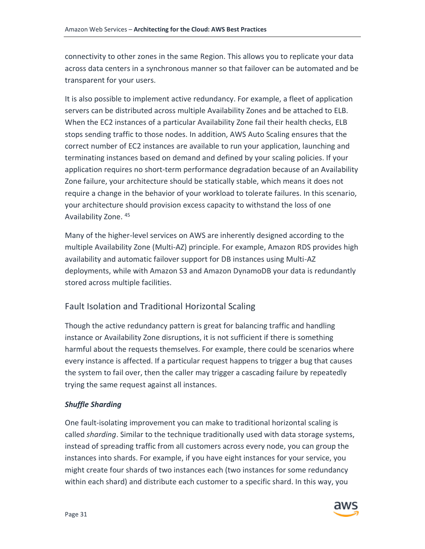connectivity to other zones in the same Region. This allows you to replicate your data across data centers in a synchronous manner so that failover can be automated and be transparent for your users.

It is also possible to implement active redundancy. For example, a fleet of application servers can be distributed across multiple Availability Zones and be attached to ELB. When the EC2 instances of a particular Availability Zone fail their health checks, ELB stops sending traffic to those nodes. In addition, AWS Auto Scaling ensures that the correct number of EC2 instances are available to run your application, launching and terminating instances based on demand and defined by your scaling policies. If your application requires no short-term performance degradation because of an Availability Zone failure, your architecture should be statically stable, which means it does not require a change in the behavior of your workload to tolerate failures. In this scenario, your architecture should provision excess capacity to withstand the loss of one Availability Zone. <sup>45</sup>

Many of the higher-level services on AWS are inherently designed according to the multiple Availability Zone (Multi-AZ) principle. For example, Amazon RDS provides high availability and automatic failover support for DB instances using Multi-AZ deployments, while with Amazon S3 and Amazon DynamoDB your data is redundantly stored across multiple facilities.

## Fault Isolation and Traditional Horizontal Scaling

Though the active redundancy pattern is great for balancing traffic and handling instance or Availability Zone disruptions, it is not sufficient if there is something harmful about the requests themselves. For example, there could be scenarios where every instance is affected. If a particular request happens to trigger a bug that causes the system to fail over, then the caller may trigger a cascading failure by repeatedly trying the same request against all instances.

#### *Shuffle Sharding*

One fault-isolating improvement you can make to traditional horizontal scaling is called *sharding*. Similar to the technique traditionally used with data storage systems, instead of spreading traffic from all customers across every node, you can group the instances into shards. For example, if you have eight instances for your service, you might create four shards of two instances each (two instances for some redundancy within each shard) and distribute each customer to a specific shard. In this way, you

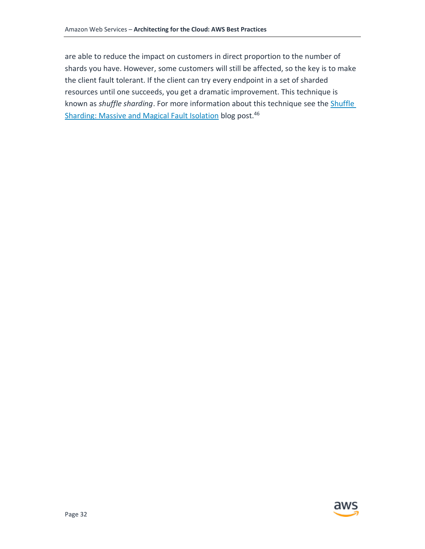<span id="page-36-0"></span>are able to reduce the impact on customers in direct proportion to the number of shards you have. However, some customers will still be affected, so the key is to make the client fault tolerant. If the client can try every endpoint in a set of sharded resources until one succeeds, you get a dramatic improvement. This technique is known as *shuffle sharding*. For more information about this technique see the [Shuffle](http://www.awsarchitectureblog.com/2014/04/shuffle-sharding.html)  [Sharding: Massive and Magical Fault Isolation](http://www.awsarchitectureblog.com/2014/04/shuffle-sharding.html) blog post.<sup>46</sup>

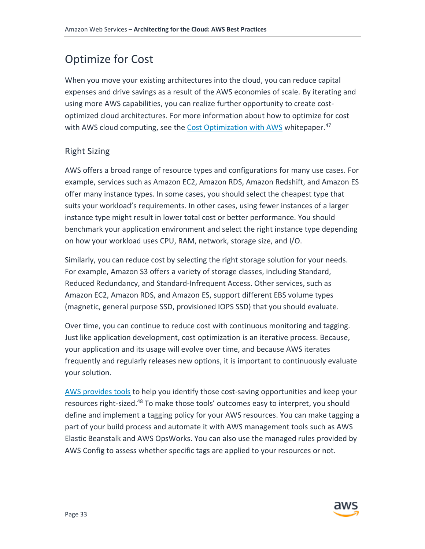# Optimize for Cost

When you move your existing architectures into the cloud, you can reduce capital expenses and drive savings as a result of the AWS economies of scale. By iterating and using more AWS capabilities, you can realize further opportunity to create costoptimized cloud architectures. For more information about how to optimize for cost with AWS cloud computing, see the [Cost Optimization with AWS](https://d0.awsstatic.com/whitepapers/Cost_Optimization_with_AWS.pdf) whitepaper.<sup>47</sup>

## Right Sizing

AWS offers a broad range of resource types and configurations for many use cases. For example, services such as Amazon EC2, Amazon RDS, Amazon Redshift, and Amazon ES offer many instance types. In some cases, you should select the cheapest type that suits your workload's requirements. In other cases, using fewer instances of a larger instance type might result in lower total cost or better performance. You should benchmark your application environment and select the right instance type depending on how your workload uses CPU, RAM, network, storage size, and I/O.

Similarly, you can reduce cost by selecting the right storage solution for your needs. For example, Amazon S3 offers a variety of storage classes, including Standard, Reduced Redundancy, and Standard-Infrequent Access. Other services, such as Amazon EC2, Amazon RDS, and Amazon ES, support different EBS volume types (magnetic, general purpose SSD, provisioned IOPS SSD) that you should evaluate.

Over time, you can continue to reduce cost with continuous monitoring and tagging. Just like application development, cost optimization is an iterative process. Because, your application and its usage will evolve over time, and because AWS iterates frequently and regularly releases new options, it is important to continuously evaluate your solution.

[AWS provides tools](http://docs.aws.amazon.com/awsaccountbilling/latest/aboutv2/monitoring-costs.html) to help you identify those cost-saving opportunities and keep your resources right-sized.<sup>48</sup> To make those tools' outcomes easy to interpret, you should define and implement a tagging policy for your AWS resources. You can make tagging a part of your build process and automate it with AWS management tools such as AWS Elastic Beanstalk and AWS OpsWorks. You can also use the managed rules provided by AWS Config to assess whether specific tags are applied to your resources or not.

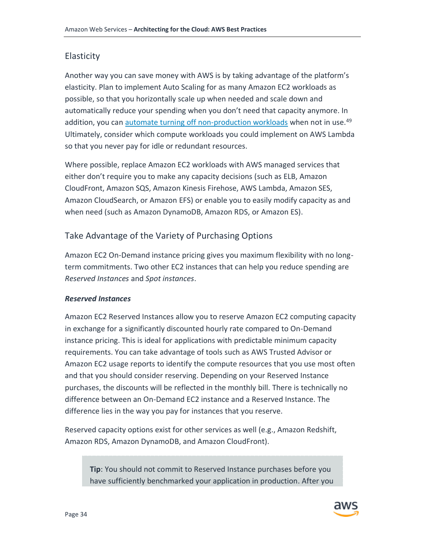## Elasticity

Another way you can save money with AWS is by taking advantage of the platform's elasticity. Plan to implement Auto Scaling for as many Amazon EC2 workloads as possible, so that you horizontally scale up when needed and scale down and automatically reduce your spending when you don't need that capacity anymore. In addition, you can [automate turning off non-production workloads](http://docs.aws.amazon.com/AmazonCloudWatch/latest/DeveloperGuide/UsingAlarmActions.html) when not in use.<sup>49</sup> Ultimately, consider which compute workloads you could implement on AWS Lambda so that you never pay for idle or redundant resources.

Where possible, replace Amazon EC2 workloads with AWS managed services that either don't require you to make any capacity decisions (such as ELB, Amazon CloudFront, Amazon SQS, Amazon Kinesis Firehose, AWS Lambda, Amazon SES, Amazon CloudSearch, or Amazon EFS) or enable you to easily modify capacity as and when need (such as Amazon DynamoDB, Amazon RDS, or Amazon ES).

# Take Advantage of the Variety of Purchasing Options

Amazon EC2 On-Demand instance pricing gives you maximum flexibility with no longterm commitments. Two other EC2 instances that can help you reduce spending are *Reserved Instances* and *Spot instances*.

#### *Reserved Instances*

Amazon EC2 Reserved Instances allow you to reserve Amazon EC2 computing capacity in exchange for a significantly discounted hourly rate compared to On-Demand instance pricing. This is ideal for applications with predictable minimum capacity requirements. You can take advantage of tools such as AWS Trusted Advisor or Amazon EC2 usage reports to identify the compute resources that you use most often and that you should consider reserving. Depending on your Reserved Instance purchases, the discounts will be reflected in the monthly bill. There is technically no difference between an On-Demand EC2 instance and a Reserved Instance. The difference lies in the way you pay for instances that you reserve.

Reserved capacity options exist for other services as well (e.g., Amazon Redshift, Amazon RDS, Amazon DynamoDB, and Amazon CloudFront).

**Tip**: You should not commit to Reserved Instance purchases before you have sufficiently benchmarked your application in production. After you

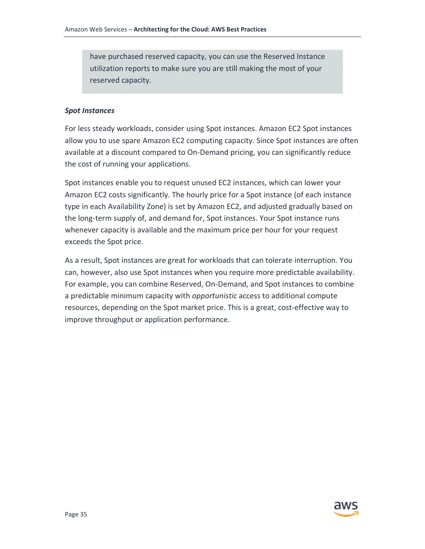have purchased reserved capacity, you can use the Reserved Instance utilization reports to make sure you are still making the most of your reserved capacity.

#### *Spot Instances*

For less steady workloads, consider using Spot instances. Amazon EC2 Spot instances allow you to use spare Amazon EC2 computing capacity. Since Spot instances are often available at a discount compared to On-Demand pricing, you can significantly reduce the cost of running your applications.

Spot instances enable you to request unused EC2 instances, which can lower your Amazon EC2 costs significantly. The hourly price for a Spot instance (of each instance type in each Availability Zone) is set by Amazon EC2, and adjusted gradually based on the long-term supply of, and demand for, Spot instances. Your Spot instance runs whenever capacity is available and the maximum price per hour for your request exceeds the Spot price.

<span id="page-39-0"></span>As a result, Spot instances are great for workloads that can tolerate interruption. You can, however, also use Spot instances when you require more predictable availability. For example, you can combine Reserved, On-Demand, and Spot instances to combine a predictable minimum capacity with *opportunistic* access to additional compute resources, depending on the Spot market price. This is a great, cost-effective way to improve throughput or application performance.

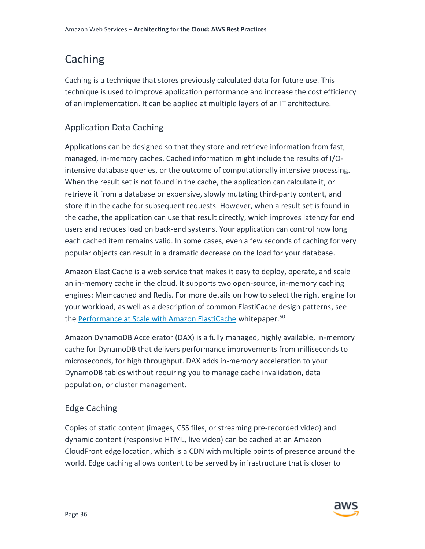# Caching

Caching is a technique that stores previously calculated data for future use. This technique is used to improve application performance and increase the cost efficiency of an implementation. It can be applied at multiple layers of an IT architecture.

# Application Data Caching

Applications can be designed so that they store and retrieve information from fast, managed, in-memory caches. Cached information might include the results of I/Ointensive database queries, or the outcome of computationally intensive processing. When the result set is not found in the cache, the application can calculate it, or retrieve it from a database or expensive, slowly mutating third-party content, and store it in the cache for subsequent requests. However, when a result set is found in the cache, the application can use that result directly, which improves latency for end users and reduces load on back-end systems. Your application can control how long each cached item remains valid. In some cases, even a few seconds of caching for very popular objects can result in a dramatic decrease on the load for your database.

Amazon ElastiCache is a web service that makes it easy to deploy, operate, and scale an in-memory cache in the cloud. It supports two open-source, in-memory caching engines: Memcached and Redis. For more details on how to select the right engine for your workload, as well as a description of common ElastiCache design patterns, see the [Performance at Scale with Amazon ElastiCache](https://d0.awsstatic.com/whitepapers/performance-at-scale-with-amazon-elasticache.pdf) whitepaper.<sup>50</sup>

Amazon DynamoDB Accelerator (DAX) is a fully managed, highly available, in-memory cache for DynamoDB that delivers performance improvements from milliseconds to microseconds, for high throughput. DAX adds in-memory acceleration to your DynamoDB tables without requiring you to manage cache invalidation, data population, or cluster management.

# Edge Caching

Copies of static content (images, CSS files, or streaming pre-recorded video) and dynamic content (responsive HTML, live video) can be cached at an Amazon CloudFront edge location, which is a CDN with multiple points of presence around the world. Edge caching allows content to be served by infrastructure that is closer to

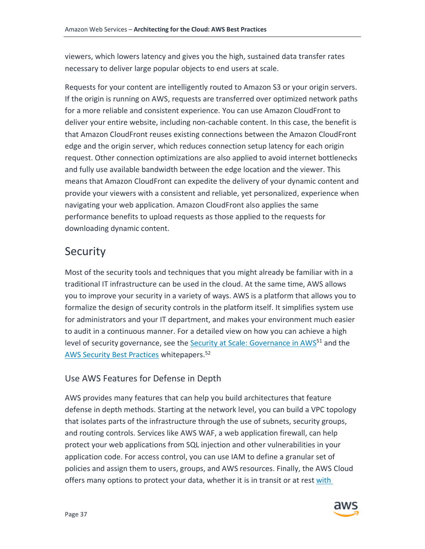viewers, which lowers latency and gives you the high, sustained data transfer rates necessary to deliver large popular objects to end users at scale.

Requests for your content are intelligently routed to Amazon S3 or your origin servers. If the origin is running on AWS, requests are transferred over optimized network paths for a more reliable and consistent experience. You can use Amazon CloudFront to deliver your entire website, including non-cachable content. In this case, the benefit is that Amazon CloudFront reuses existing connections between the Amazon CloudFront edge and the origin server, which reduces connection setup latency for each origin request. Other connection optimizations are also applied to avoid internet bottlenecks and fully use available bandwidth between the edge location and the viewer. This means that Amazon CloudFront can expedite the delivery of your dynamic content and provide your viewers with a consistent and reliable, yet personalized, experience when navigating your web application. Amazon CloudFront also applies the same performance benefits to upload requests as those applied to the requests for downloading dynamic content.

# <span id="page-41-0"></span>**Security**

Most of the security tools and techniques that you might already be familiar with in a traditional IT infrastructure can be used in the cloud. At the same time, AWS allows you to improve your security in a variety of ways. AWS is a platform that allows you to formalize the design of security controls in the platform itself. It simplifies system use for administrators and your IT department, and makes your environment much easier to audit in a continuous manner. For a detailed view on how you can achieve a high level of security governance, see the Security at [Scale: Governance in AWS](https://d0.awsstatic.com/whitepapers/compliance/AWS_Security_at_Scale_Governance_in_AWS_Whitepaper.pdf)<sup>51</sup> and the [AWS Security Best Practices](https://d0.awsstatic.com/whitepapers/aws-security-best-practices.pdf) whitepapers.<sup>52</sup>

## Use AWS Features for Defense in Depth

AWS provides many features that can help you build architectures that feature defense in depth methods. Starting at the network level, you can build a VPC topology that isolates parts of the infrastructure through the use of subnets, security groups, and routing controls. Services like AWS WAF, a web application firewall, can help protect your web applications from SQL injection and other vulnerabilities in your application code. For access control, you can use IAM to define a granular set of policies and assign them to users, groups, and AWS resources. Finally, the AWS Cloud offers many options to protect your data, whether it is in transit or at rest with

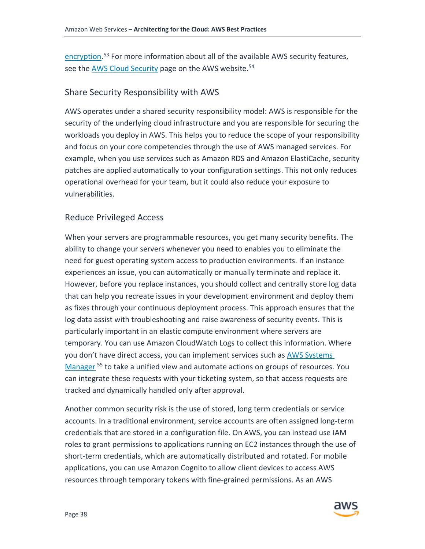[encryption.](https://d0.awsstatic.com/whitepapers/aws-securing-data-at-rest-with-encryption.pdf)<sup>53</sup> For more information about all of the available AWS security features, see the [AWS Cloud Security](http://aws.amazon.com/security) page on the AWS website.<sup>54</sup>

### Share Security Responsibility with AWS

AWS operates under a shared security responsibility model: AWS is responsible for the security of the underlying cloud infrastructure and you are responsible for securing the workloads you deploy in AWS. This helps you to reduce the scope of your responsibility and focus on your core competencies through the use of AWS managed services. For example, when you use services such as Amazon RDS and Amazon ElastiCache, security patches are applied automatically to your configuration settings. This not only reduces operational overhead for your team, but it could also reduce your exposure to vulnerabilities.

## Reduce Privileged Access

When your servers are programmable resources, you get many security benefits. The ability to change your servers whenever you need to enables you to eliminate the need for guest operating system access to production environments. If an instance experiences an issue, you can automatically or manually terminate and replace it. However, before you replace instances, you should collect and centrally store log data that can help you recreate issues in your development environment and deploy them as fixes through your continuous deployment process. This approach ensures that the log data assist with troubleshooting and raise awareness of security events. This is particularly important in an elastic compute environment where servers are temporary. You can use Amazon CloudWatch Logs to collect this information. Where you don't have direct access, you can implement services such as [AWS Systems](https://aws.amazon.com/systems-manager/)  [Manager](https://aws.amazon.com/systems-manager/)<sup>55</sup> to take a unified view and automate actions on groups of resources. You can integrate these requests with your ticketing system, so that access requests are tracked and dynamically handled only after approval.

Another common security risk is the use of stored, long term credentials or service accounts. In a traditional environment, service accounts are often assigned long-term credentials that are stored in a configuration file. On AWS, you can instead use IAM roles to grant permissions to applications running on EC2 instances through the use of short-term credentials, which are automatically distributed and rotated. For mobile applications, you can use Amazon Cognito to allow client devices to access AWS resources through temporary tokens with fine-grained permissions. As an AWS

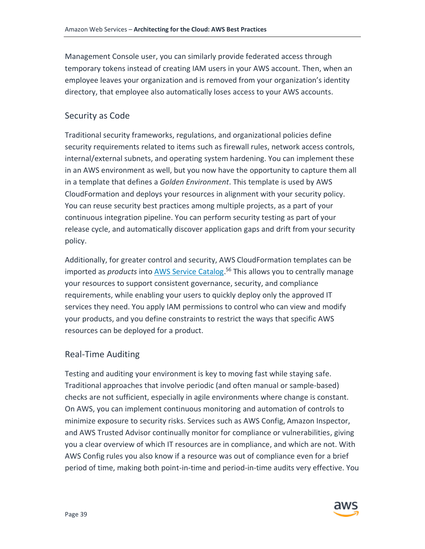Management Console user, you can similarly provide federated access through temporary tokens instead of creating IAM users in your AWS account. Then, when an employee leaves your organization and is removed from your organization's identity directory, that employee also automatically loses access to your AWS accounts.

### Security as Code

Traditional security frameworks, regulations, and organizational policies define security requirements related to items such as firewall rules, network access controls, internal/external subnets, and operating system hardening. You can implement these in an AWS environment as well, but you now have the opportunity to capture them all in a template that defines a *Golden Environment*. This template is used by AWS CloudFormation and deploys your resources in alignment with your security policy. You can reuse security best practices among multiple projects, as a part of your continuous integration pipeline. You can perform security testing as part of your release cycle, and automatically discover application gaps and drift from your security policy.

Additionally, for greater control and security, AWS CloudFormation templates can be imported as *products* into [AWS Service Catalog.](https://aws.amazon.com/servicecatalog/) <sup>56</sup> This allows you to centrally manage your resources to support consistent governance, security, and compliance requirements, while enabling your users to quickly deploy only the approved IT services they need. You apply IAM permissions to control who can view and modify your products, and you define constraints to restrict the ways that specific AWS resources can be deployed for a product.

### Real-Time Auditing

Testing and auditing your environment is key to moving fast while staying safe. Traditional approaches that involve periodic (and often manual or sample-based) checks are not sufficient, especially in agile environments where change is constant. On AWS, you can implement continuous monitoring and automation of controls to minimize exposure to security risks. Services such as AWS Config, Amazon Inspector, and AWS Trusted Advisor continually monitor for compliance or vulnerabilities, giving you a clear overview of which IT resources are in compliance, and which are not. With AWS Config rules you also know if a resource was out of compliance even for a brief period of time, making both point-in-time and period-in-time audits very effective. You

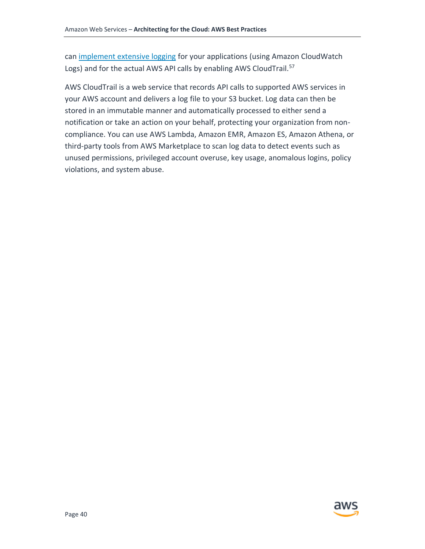can [implement extensive logging](https://d0.awsstatic.com/whitepapers/compliance/AWS_Security_at_Scale_Logging_in_AWS_Whitepaper.pdf) for your applications (using Amazon CloudWatch Logs) and for the actual AWS API calls by enabling AWS CloudTrail.<sup>57</sup>

<span id="page-44-0"></span>AWS CloudTrail is a web service that records API calls to supported AWS services in your AWS account and delivers a log file to your S3 bucket. Log data can then be stored in an immutable manner and automatically processed to either send a notification or take an action on your behalf, protecting your organization from noncompliance. You can use AWS Lambda, Amazon EMR, Amazon ES, Amazon Athena, or third-party tools from AWS Marketplace to scan log data to detect events such as unused permissions, privileged account overuse, key usage, anomalous logins, policy violations, and system abuse.

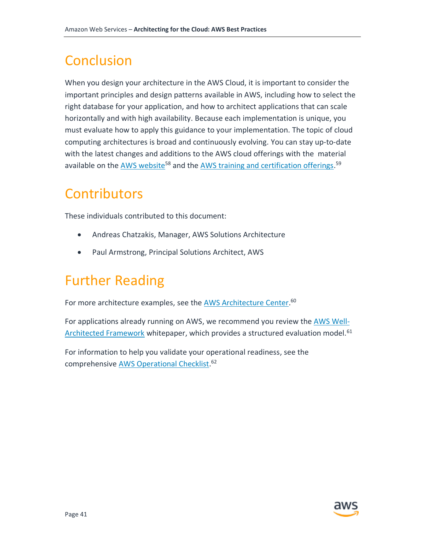# Conclusion

When you design your architecture in the AWS Cloud, it is important to consider the important principles and design patterns available in AWS, including how to select the right database for your application, and how to architect applications that can scale horizontally and with high availability. Because each implementation is unique, you must evaluate how to apply this guidance to your implementation. The topic of cloud computing architectures is broad and continuously evolving. You can stay up-to-date with the latest changes and additions to the AWS cloud offerings with the material available on the [AWS website](https://aws.amazon.com/)<sup>58</sup> and the [AWS training and certification offerings.](https://aws.amazon.com/training/)<sup>59</sup>

# <span id="page-45-0"></span>**Contributors**

These individuals contributed to this document:

- Andreas Chatzakis, Manager, AWS Solutions Architecture
- Paul Armstrong, Principal Solutions Architect, AWS

# <span id="page-45-1"></span>Further Reading

For more architecture examples, see th[e AWS Architecture Center.](https://aws.amazon.com/architecture)<sup>60</sup>

For applications already running on AWS, we recommend you review the [AWS Well-](http://d0.awsstatic.com/whitepapers/architecture/AWS_Well-Architected_Framework.pdf)[Architected Framework](http://d0.awsstatic.com/whitepapers/architecture/AWS_Well-Architected_Framework.pdf) whitepaper, which provides a structured evaluation model.<sup>61</sup>

<span id="page-45-2"></span>For information to help you validate your operational readiness, see the comprehensive **AWS Operational Checklist.**<sup>62</sup>

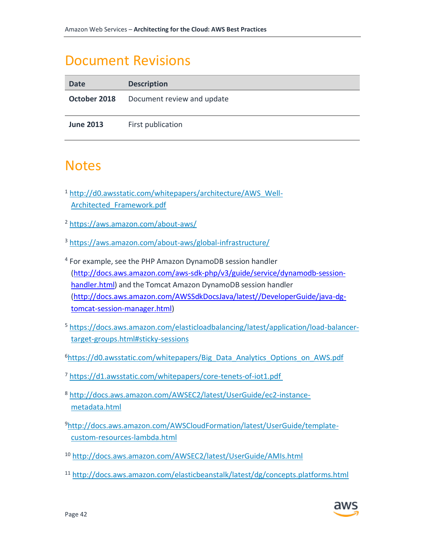# Document Revisions

| Date             | <b>Description</b>         |
|------------------|----------------------------|
| October 2018     | Document review and update |
| <b>June 2013</b> | First publication          |

# **Notes**

- <sup>1</sup> [http://d0.awsstatic.com/whitepapers/architecture/AWS\\_Well-](http://d0.awsstatic.com/whitepapers/architecture/AWS_Well-Architected_Framework.pdf)[Architected\\_Framework.pdf](http://d0.awsstatic.com/whitepapers/architecture/AWS_Well-Architected_Framework.pdf)
- <sup>2</sup> <https://aws.amazon.com/about-aws/>
- <sup>3</sup> <https://aws.amazon.com/about-aws/global-infrastructure/>
- <sup>4</sup> For example, see the PHP Amazon DynamoDB session handler [\(http://docs.aws.amazon.com/aws-sdk-php/v3/guide/service/dynamodb-session](http://docs.aws.amazon.com/aws-sdk-php/v3/guide/service/dynamodb-session-handler.html)[handler.html\)](http://docs.aws.amazon.com/aws-sdk-php/v3/guide/service/dynamodb-session-handler.html) and the Tomcat Amazon DynamoDB session handler [\(http://docs.aws.amazon.com/AWSSdkDocsJava/latest//DeveloperGuide/java-dg](http://docs.aws.amazon.com/AWSSdkDocsJava/latest/DeveloperGuide/java-dg-tomcat-session-manager.html)[tomcat-session-manager.html\)](http://docs.aws.amazon.com/AWSSdkDocsJava/latest/DeveloperGuide/java-dg-tomcat-session-manager.html)
- <sup>5</sup> [https://docs.aws.amazon.com/elasticloadbalancing/latest/application/load-balancer](https://docs.aws.amazon.com/elasticloadbalancing/latest/application/load-balancer-target-groups.html#sticky-sessions)[target-groups.html#sticky-sessions](https://docs.aws.amazon.com/elasticloadbalancing/latest/application/load-balancer-target-groups.html#sticky-sessions)
- <sup>6</sup>[https://d0.awsstatic.com/whitepapers/Big\\_Data\\_Analytics\\_Options\\_on\\_AWS.pdf](https://d0.awsstatic.com/whitepapers/Big_Data_Analytics_Options_on_AWS.pdf)
- <sup>7</sup> <https://d1.awsstatic.com/whitepapers/core-tenets-of-iot1.pdf>
- <sup>8</sup> [http://docs.aws.amazon.com/AWSEC2/latest/UserGuide/ec2-instance](http://docs.aws.amazon.com/AWSEC2/latest/UserGuide/ec2-instance-metadata.html)[metadata.html](http://docs.aws.amazon.com/AWSEC2/latest/UserGuide/ec2-instance-metadata.html)
- 9[http://docs.aws.amazon.com/AWSCloudFormation/latest/UserGuide/template](http://docs.aws.amazon.com/AWSCloudFormation/latest/UserGuide/template-custom-resources-lambda.html)[custom-resources-lambda.html](http://docs.aws.amazon.com/AWSCloudFormation/latest/UserGuide/template-custom-resources-lambda.html)
- <sup>10</sup> <http://docs.aws.amazon.com/AWSEC2/latest/UserGuide/AMIs.html>
- <sup>11</sup> <http://docs.aws.amazon.com/elasticbeanstalk/latest/dg/concepts.platforms.html>

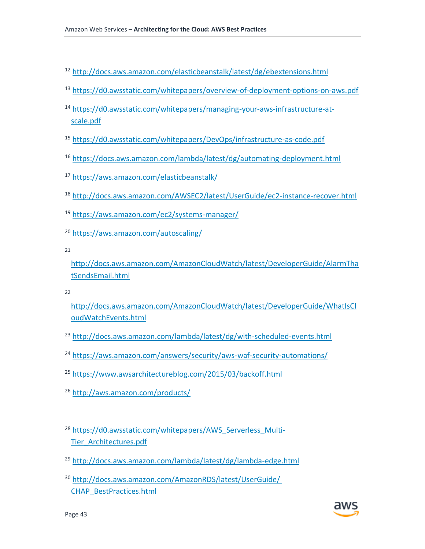- <sup>12</sup> <http://docs.aws.amazon.com/elasticbeanstalk/latest/dg/ebextensions.html>
- <sup>13</sup> <https://d0.awsstatic.com/whitepapers/overview-of-deployment-options-on-aws.pdf>
- <sup>14</sup> [https://d0.awsstatic.com/whitepapers/managing-your-aws-infrastructure-at](https://d0.awsstatic.com/whitepapers/managing-your-aws-infrastructure-at-scale.pdf)[scale.pdf](https://d0.awsstatic.com/whitepapers/managing-your-aws-infrastructure-at-scale.pdf)
- <sup>15</sup> <https://d0.awsstatic.com/whitepapers/DevOps/infrastructure-as-code.pdf>
- <sup>16</sup> <https://docs.aws.amazon.com/lambda/latest/dg/automating-deployment.html>
- <sup>17</sup> <https://aws.amazon.com/elasticbeanstalk/>
- <sup>18</sup> <http://docs.aws.amazon.com/AWSEC2/latest/UserGuide/ec2-instance-recover.html>
- <sup>19</sup> <https://aws.amazon.com/ec2/systems-manager/>
- <sup>20</sup> <https://aws.amazon.com/autoscaling/>

21

[http://docs.aws.amazon.com/AmazonCloudWatch/latest/DeveloperGuide/AlarmTha](http://docs.aws.amazon.com/AmazonCloudWatch/latest/DeveloperGuide/AlarmThatSendsEmail.html) [tSendsEmail.html](http://docs.aws.amazon.com/AmazonCloudWatch/latest/DeveloperGuide/AlarmThatSendsEmail.html)

 $22$ 

- [http://docs.aws.amazon.com/AmazonCloudWatch/latest/DeveloperGuide/WhatIsCl](http://docs.aws.amazon.com/AmazonCloudWatch/latest/DeveloperGuide/WhatIsCloudWatchEvents.html) [oudWatchEvents.html](http://docs.aws.amazon.com/AmazonCloudWatch/latest/DeveloperGuide/WhatIsCloudWatchEvents.html)
- <sup>23</sup> <http://docs.aws.amazon.com/lambda/latest/dg/with-scheduled-events.html>
- <sup>24</sup> <https://aws.amazon.com/answers/security/aws-waf-security-automations/>
- <sup>25</sup> <https://www.awsarchitectureblog.com/2015/03/backoff.html>
- <sup>26</sup> <http://aws.amazon.com/products/>
- <sup>28</sup> [https://d0.awsstatic.com/whitepapers/AWS\\_Serverless\\_Multi-](https://d0.awsstatic.com/whitepapers/AWS_Serverless_Multi-Tier_Architectures.pdf)[Tier\\_Architectures.pdf](https://d0.awsstatic.com/whitepapers/AWS_Serverless_Multi-Tier_Architectures.pdf)
- <sup>29</sup> <http://docs.aws.amazon.com/lambda/latest/dg/lambda-edge.html>
- <sup>30</sup> [http://docs.aws.amazon.com/AmazonRDS/latest/UserGuide/](http://docs.aws.amazon.com/AmazonRDS/latest/UserGuide/CHAP_BestPractices.html)  [CHAP\\_BestPractices.html](http://docs.aws.amazon.com/AmazonRDS/latest/UserGuide/CHAP_BestPractices.html)

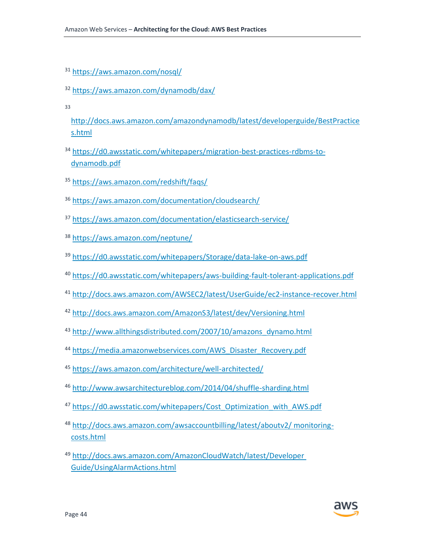- <https://aws.amazon.com/nosql/>
- <https://aws.amazon.com/dynamodb/dax/>
- 

[http://docs.aws.amazon.com/amazondynamodb/latest/developerguide/BestPractice](http://docs.aws.amazon.com/amazondynamodb/latest/developerguide/BestPractices.html) [s.html](http://docs.aws.amazon.com/amazondynamodb/latest/developerguide/BestPractices.html)

- [https://d0.awsstatic.com/whitepapers/migration-best-practices-rdbms-to](https://d0.awsstatic.com/whitepapers/migration-best-practices-rdbms-to-dynamodb.pdf)[dynamodb.pdf](https://d0.awsstatic.com/whitepapers/migration-best-practices-rdbms-to-dynamodb.pdf)
- <https://aws.amazon.com/redshift/faqs/>
- <https://aws.amazon.com/documentation/cloudsearch/>
- <https://aws.amazon.com/documentation/elasticsearch-service/>
- <https://aws.amazon.com/neptune/>
- <https://d0.awsstatic.com/whitepapers/Storage/data-lake-on-aws.pdf>
- <https://d0.awsstatic.com/whitepapers/aws-building-fault-tolerant-applications.pdf>
- <http://docs.aws.amazon.com/AWSEC2/latest/UserGuide/ec2-instance-recover.html>
- <http://docs.aws.amazon.com/AmazonS3/latest/dev/Versioning.html>
- [http://www.allthingsdistributed.com/2007/10/amazons\\_dynamo.html](http://www.allthingsdistributed.com/2007/10/amazons_dynamo.html)
- [https://media.amazonwebservices.com/AWS\\_Disaster\\_Recovery.pdf](https://media.amazonwebservices.com/AWS_Disaster_Recovery.pdf)
- <https://aws.amazon.com/architecture/well-architected/>
- <http://www.awsarchitectureblog.com/2014/04/shuffle-sharding.html>
- [https://d0.awsstatic.com/whitepapers/Cost\\_Optimization\\_with\\_AWS.pdf](https://d0.awsstatic.com/whitepapers/Cost_Optimization_with_AWS.pdf)
- [http://docs.aws.amazon.com/awsaccountbilling/latest/aboutv2/ monitoring](http://docs.aws.amazon.com/awsaccountbilling/latest/aboutv2/monitoring-costs.html)[costs.html](http://docs.aws.amazon.com/awsaccountbilling/latest/aboutv2/monitoring-costs.html)
- [http://docs.aws.amazon.com/AmazonCloudWatch/latest/Developer](http://docs.aws.amazon.com/AmazonCloudWatch/latest/DeveloperGuide/UsingAlarmActions.html)  [Guide/UsingAlarmActions.html](http://docs.aws.amazon.com/AmazonCloudWatch/latest/DeveloperGuide/UsingAlarmActions.html)